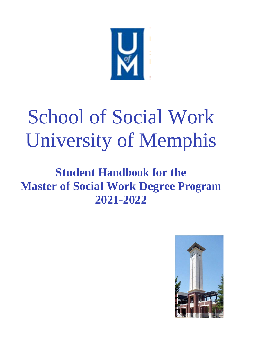

# School of Social Work University of Memphis

# **Student Handbook for the Master of Social Work Degree Program 2021-2022**

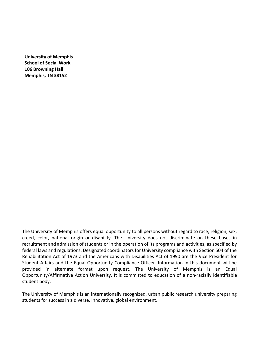**University of Memphis School of Social Work 106 Browning Hall Memphis, TN 38152**

The University of Memphis offers equal opportunity to all persons without regard to race, religion, sex, creed, color, national origin or disability. The University does not discriminate on these bases in recruitment and admission of students or in the operation of its programs and activities, as specified by federal laws and regulations. Designated coordinators for University compliance with Section 504 of the Rehabilitation Act of 1973 and the Americans with Disabilities Act of 1990 are the Vice President for Student Affairs and the Equal Opportunity Compliance Officer. Information in this document will be provided in alternate format upon request. The University of Memphis is an Equal Opportunity/Affirmative Action University. It is committed to education of a non‐racially identifiable student body.

The University of Memphis is an internationally recognized, urban public research university preparing students for success in a diverse, innovative, global environment.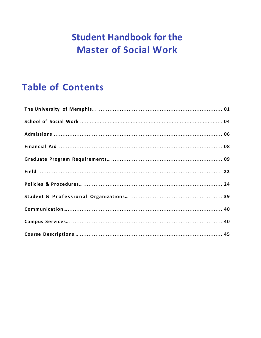## **Student Handbook for the Master of Social Work**

### **Table of Contents**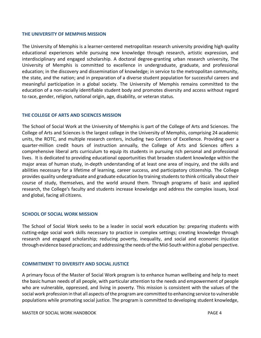#### **THE UNIVERSITY OF MEMPHIS MISSION**

The University of Memphis is a learner‐centered metropolitan research university providing high quality educational experiences while pursuing new knowledge through research, artistic expression, and interdisciplinary and engaged scholarship. A doctoral degree‐granting urban research university, The University of Memphis is committed to excellence in undergraduate, graduate, and professional education; in the discovery and dissemination of knowledge; in service to the metropolitan community, the state, and the nation; and in preparation of a diverse student population for successful careers and meaningful participation in a global society. The University of Memphis remains committed to the education of a non‐racially identifiable student body and promotes diversity and access without regard to race, gender, religion, national origin, age, disability, or veteran status.

#### **THE COLLEGE OF ARTS AND SCIENCES MISSION**

The School of Social Work at the University of Memphis is part of the College of Arts and Sciences. The College of Arts and Sciences is the largest college in the University of Memphis, comprising 24 academic units, the ROTC, and multiple research centers, including two Centers of Excellence. Providing over a quarter‐million credit hours of instruction annually, the College of Arts and Sciences offers a comprehensive liberal arts curriculum to equip its students in pursuing rich personal and professional lives. It is dedicated to providing educational opportunities that broaden student knowledge within the major areas of human study, in‐depth understanding of at least one area of inquiry, and the skills and abilities necessary for a lifetime of learning, career success, and participatory citizenship. The College provides quality undergraduate and graduate education by training students to think critically about their course of study, themselves, and the world around them. Through programs of basic and applied research, the College's faculty and students increase knowledge and address the complex issues, local and global, facing all citizens.

#### **SCHOOL OF SOCIAL WORK MISSION**

The School of Social Work seeks to be a leader in social work education by: preparing students with cutting‐edge social work skills necessary to practice in complex settings; creating knowledge through research and engaged scholarship; reducing poverty, inequality, and social and economic injustice through evidence based practices; and addressing the needs of the Mid‐South within a global perspective.

#### **COMMITMENT TO DIVERSITY AND SOCIAL JUSTICE**

A primary focus of the Master of Social Work program is to enhance human wellbeing and help to meet the basic human needs of all people, with particular attention to the needs and empowerment of people who are vulnerable, oppressed, and living in poverty. This mission is consistent with the values of the social work profession in that all aspects of the program are committed to enhancing service to vulnerable populations while promoting social justice. The program is committed to developing student knowledge,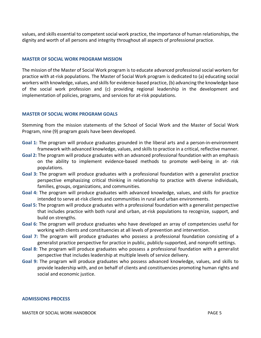values, and skills essential to competent social work practice, the importance of human relationships, the dignity and worth of all persons and integrity throughout all aspects of professional practice.

#### **MASTER OF SOCIAL WORK PROGRAM MISSION**

The mission of the Master of Social Work program is to educate advanced professional social workers for practice with at‐risk populations. The Master of Social Work program is dedicated to (a) educating social workers with knowledge, values, and skills for evidence‐based practice, (b) advancing the knowledge base of the social work profession and (c) providing regional leadership in the development and implementation of policies, programs, and services for at‐risk populations.

#### **MASTER OF SOCIAL WORK PROGRAM GOALS**

Stemming from the mission statements of the School of Social Work and the Master of Social Work Program, nine (9) program goals have been developed.

- Goal 1: The program will produce graduates grounded in the liberal arts and a person-in-environment framework with advanced knowledge, values, and skills to practice in a critical, reflective manner.
- **Goal 2:** The program will produce graduates with an advanced professional foundation with an emphasis on the ability to implement evidence‐based methods to promote well‐being in at‐ risk populations.
- **Goal 3:** The program will produce graduates with a professional foundation with a generalist practice perspective emphasizing critical thinking in relationship to practice with diverse individuals, families, groups, organizations, and communities.
- **Goal 4:** The program will produce graduates with advanced knowledge, values, and skills for practice intended to serve at-risk clients and communities in rural and urban environments.
- **Goal 5:** The program will produce graduates with a professional foundation with a generalist perspective that includes practice with both rural and urban, at‐risk populations to recognize, support, and build on strengths.
- **Goal 6:** The program will produce graduates who have developed an array of competencies useful for working with clients and constituencies at all levels of prevention and intervention.
- **Goal 7:** The program will produce graduates who possess a professional foundation consisting of a generalist practice perspective for practice in public, publicly‐supported, and nonprofit settings.
- **Goal 8:** The program will produce graduates who possess a professional foundation with a generalist perspective that includes leadership at multiple levels of service delivery.
- **Goal 9:** The program will produce graduates who possess advanced knowledge, values, and skills to provide leadership with, and on behalf of clients and constituencies promoting human rights and social and economic justice.

#### **ADMISSIONS PROCESS**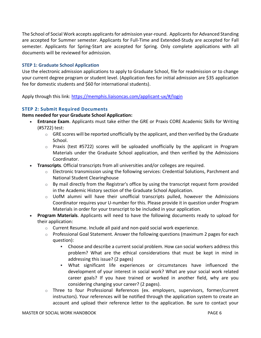The School of Social Work accepts applicants for admission year-round. Applicants for Advanced Standing are accepted for Summer semester. Applicants for Full-Time and Extended-Study are accepted for Fall semester. Applicants for Spring-Start are accepted for Spring. Only complete applications with all documents will be reviewed for admission.

#### **STEP 1: Graduate School Application**

Use the electronic admission applications to apply to Graduate School, file for readmission or to change your current degree program or student level. (Application fees for initial admission are \$35 application fee for domestic students and \$60 for international students).

Apply through this link:<https://memphis.liaisoncas.com/applicant-ux/#/login>

#### **STEP 2: Submit Required Documents**

#### **Items needed for your Graduate School Application:**

- **Entrance Exam**. Applicants must take either the GRE or Praxis CORE Academic Skills for Writing (#5722) test:
	- $\circ$  GRE scores will be reported unofficially by the applicant, and then verified by the Graduate School.
	- $\circ$  Praxis (test #5722) scores will be uploaded unofficially by the applicant in Program Materials under the Graduate School application, and then verified by the Admissions Coordinator.
- **Transcripts**. Official transcripts from all universities and/or colleges are required.
	- o Electronic transmission using the following services: Credential Solutions, Parchment and National Student Clearinghouse
	- $\circ$  By mail directly from the Registrar's office by using the transcript request form provided in the Academic History section of the Graduate School Application.
	- $\circ$  UofM alumni will have their unofficial transcripts pulled, however the Admissions Coordinator requires your U-number for this. Please provide it in question under Program Materials in order for your transcript to be included in your application.
- **Program Materials**. Applicants will need to have the following documents ready to upload for their application:
	- o Current Resume. Include all paid and non-paid social work experience.
	- $\circ$  Professional Goal Statement. Answer the following questions (maximum 2 pages for each question):
		- Choose and describe a current social problem. How can social workers address this problem? What are the ethical considerations that must be kept in mind in addressing this issue? (2 pages)
		- What significant life experiences or circumstances have influenced the development of your interest in social work? What are your social work related career goals? If you have trained or worked in another field, why are you considering changing your career? (2 pages).
	- $\circ$  Three to four Professional References (ex. employers, supervisors, former/current instructors). Your references will be notified through the application system to create an account and upload their reference letter to the application. Be sure to contact your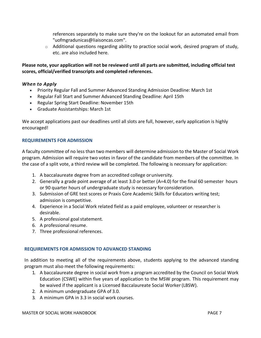references separately to make sure they're on the lookout for an automated email from "uofmgradunicas@liaisoncas.com".

 $\circ$  Additional questions regarding ability to practice social work, desired program of study, etc. are also included here.

#### **Please note, your application will not be reviewed until all parts are submitted, including official test scores, official/verified transcripts and completed references.**

#### *When to Apply*

- Priority Regular Fall and Summer Advanced Standing Admission Deadline: March 1st
- Regular Fall Start and Summer Advanced Standing Deadline: April 15th
- Regular Spring Start Deadline: November 15th
- Graduate Assistantships: March 1st

We accept applications past our deadlines until all slots are full, however, early application is highly encouraged!

#### **REQUIREMENTS FOR ADMISSION**

A faculty committee of no less than two members will determine admission to the Master of Social Work program. Admission will require two votes in favor of the candidate from members of the committee. In the case of a split vote, a third review will be completed. The following is necessary for application:

- 1. A baccalaureate degree from an accredited college oruniversity.
- 2. Generally a grade point average of at least 3.0 or better (A=4.0) for the final 60 semester hours or 90 quarter hours of undergraduate study is necessary forconsideration.
- 3. Submission of GRE test scores or Praxis Core Academic Skills for Educators writing test; admission is competitive.
- 4. Experience in a Social Work related field as a paid employee, volunteer or researcher is desirable.
- 5. A professional goalstatement.
- 6. A professional resume.
- 7. Three professional references.

#### **REQUIREMENTS FOR ADMISSION TO ADVANCED STANDING**

In addition to meeting all of the requirements above, students applying to the advanced standing program must also meet the following requirements:

- 1. A baccalaureate degree in social work from a program accredited by the Council on Social Work Education (CSWE) within five years of application to the MSW program. This requirement may be waived if the applicant is a Licensed Baccalaureate Social Worker(LBSW).
- 2. A minimum undergraduate GPA of 3.0.
- 3. A minimum GPA in 3.3 in social work courses.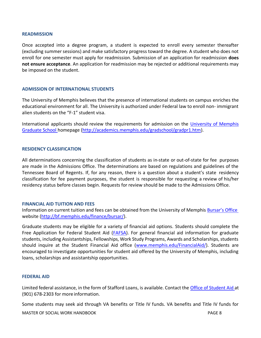#### **READMISSION**

Once accepted into a degree program, a student is expected to enroll every semester thereafter (excluding summer sessions) and make satisfactory progress toward the degree. A student who does not enroll for one semester must apply for readmission. Submission of an application for readmission **does not ensure acceptance**. An application for readmission may be rejected or additional requirements may be imposed on the student.

#### **ADMISSION OF INTERNATIONAL STUDENTS**

The University of Memphis believes that the presence of international students on campus enriches the educational environment for all. The University is authorized under Federal law to enroll non‐ immigrant alien students on the "F‐1" student visa.

International applicants should review the requirements for admission on the University of Memphis Graduate School homepage [\(http://academics.memphis.edu/gradschool/gradpr1.htm\).](http://academics.memphis.edu/gradschool/gradpr1.htm))

#### **RESIDENCY CLASSIFICATION**

All determinations concerning the classification of students as in‐state or out‐of‐state for fee purposes are made in the Admissions Office. The determinations are based on regulations and guidelines of the Tennessee Board of Regents. If, for any reason, there is a question about a student's state residency classification for fee payment purposes, the student is responsible for requesting a review of his/her residency status before classes begin. Requests for review should be made to the Admissions Office.

#### **FINANCIAL AID TUITION AND FEES**

Information on current tuition and fees can be obtained from the University of Memphis Bursar's Office website [\(http://bf.memphis.edu/finance/bursar/\).](http://bf.memphis.edu/finance/bursar/))

Graduate students may be eligible for a variety of financial aid options. Students should complete the Free Application for Federal Student Aid (FAFSA). For general financial aid information for graduate students, including Assistantships, Fellowships, Work Study Programs, Awards and Scholarships, students should inquire at the Student Financial Aid office [\(www.memphis.edu/FinancialAid/\).](http://www.memphis.edu/FinancialAid/)) Students are encouraged to investigate opportunities for student aid offered by the University of Memphis, including loans, scholarships and assistantship opportunities.

#### **FEDERAL AID**

Limited federal assistance, in the form of Stafford Loans, is available. Contact the Office of Student Aid at (901) 678‐2303 for more information.

Some students may seek aid through VA benefits or Title IV funds. VA benefits and Title IV funds for

MASTER OF SOCIAL WORK HANDBOOK **PAGE 8**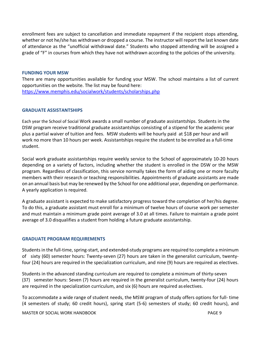enrollment fees are subject to cancellation and immediate repayment if the recipient stops attending, whether or not he/she has withdrawn or dropped a course. The instructor will report the last known date of attendance as the "unofficial withdrawal date." Students who stopped attending will be assigned a grade of "F" in courses from which they have not withdrawn according to the policies of the university.

#### **FUNDING YOUR MSW**

There are many opportunities available for funding your MSW. The school maintains a list of current opportunities on the website. The list may be found here: <https://www.memphis.edu/socialwork/students/scholarships.php>

#### **GRADUATE ASSISTANTSHIPS**

Each year the School of Social Work awards a small number of graduate assistantships. Students in the DSW program receive traditional graduate assistantships consisting of a stipend for the academic year plus a partial waiver of tuition and fees. MSW students will be hourly paid at \$18 per hour and will work no more than 10 hours per week. Assistantships require the student to be enrolled as a full‐time student.

Social work graduate assistantships require weekly service to the School of approximately 10‐20 hours depending on a variety of factors, including whether the student is enrolled in the DSW or the MSW program. Regardless of classification, this service normally takes the form of aiding one or more faculty members with their research or teaching responsibilities. Appointments of graduate assistants are made on an annual basis but may be renewed by the School for one additional year, depending on performance. A yearly application is required.

A graduate assistant is expected to make satisfactory progress toward the completion of her/his degree. To do this, a graduate assistant must enroll for a minimum of twelve hours of course work per semester and must maintain a minimum grade point average of 3.0 at all times. Failure to maintain a grade point average of 3.0 disqualifies a student from holding a future graduate assistantship.

#### <span id="page-8-0"></span>**GRADUATE PROGRAM REQUIREMENTS**

Students in the full‐time, spring-start, and extended‐study programs are required to complete a minimum of sixty (60) semester hours: Twenty-seven (27) hours are taken in the generalist curriculum, twenty‐ four (24) hours are required in the specialization curriculum, and nine (9) hours are required as electives.

Students in the advanced standing curriculum are required to complete a minimum of thirty‐seven (37) semester hours: Seven (7) hours are required in the generalist curriculum, twenty‐four (24) hours are required in the specialization curriculum, and six (6) hours are required aselectives.

To accommodate a wide range of student needs, the MSW program of study offers options for full‐ time (4 semesters of study; 60 credit hours), spring start (5-6) semesters of study; 60 credit hours), and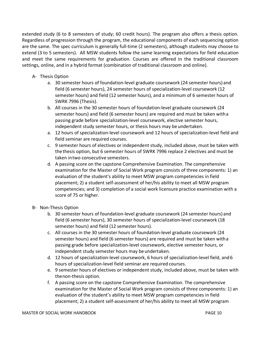extended study (6 to 8 semesters of study; 60 credit hours). The program also offers a thesis option. Regardless of progression through the program, the educational components of each sequencing option are the same. The spec curriculum is generally full‐time (2 semesters), although students may choose to extend (3 to 5 semesters). All MSW students follow the same learning expectations for field education and meet the same requirements for graduation. Courses are offered in the traditional classroom settings, online, and in a hybrid format (combination of traditional classroom and online).

- A‐ Thesis Option
	- a. 30 semester hours of foundation‐level graduate coursework (24 semester hours) and field (6 semester hours), 24 semester hours of specialization‐level coursework (12 semester hours) and field (12 semester hours), and a minimum of 6 semester hours of SWRK 7996 (Thesis).
	- b. All courses in the 30 semester hours of foundation‐level graduate coursework (24 semester hours) and field (6 semester hours) are required and must be taken witha passing grade before specialization‐level coursework, elective semester hours, independent study semester hours, or thesis hours may be undertaken.
	- a. 12 hours of specialization‐level coursework and 12 hours of specialization‐level field and field seminar are required courses.
	- c. 9 semester hours of electives or independent study, included above, must be taken with the thesis option, but 6 semester hours of SWRK 7996 replace 2 electives and must be taken intwo consecutive semesters.
	- d. A passing score on the capstone Comprehensive Examination. The comprehensive examination for the Master of Social Work program consists of three components: 1) an evaluation of the student's ability to meet MSW program competencies in field placement; 2) a student self‐assessment of her/his ability to meet all MSW program competencies; and 3) completion of a social work licensure practice examination with a score of 75 or higher.
- B‐ Non‐Thesis Option
	- b. 30 semester hours of foundation‐level graduate coursework (24 semester hours) and field (6 semester hours), 30 semester hours of specialization‐level coursework (18 semester hours) and field (12 semester hours).
	- c. All courses in the 30 semester hours of foundation‐level graduate coursework (24 semester hours) and field (6 semester hours) are required and must be taken witha passing grade before specialization‐level coursework, elective semester hours, or independent study semester hours may be undertaken.
	- d. 12 hours of specialization‐level coursework, 6 hours of specialization‐level field, and6 hours of specialization‐level field seminar are required courses.
	- e. 9 semester hours of electives or independent study, included above, must be taken with thenon‐thesis option.
	- f. A passing score on the capstone Comprehensive Examination. The comprehensive examination for the Master of Social Work program consists of three components: 1) an evaluation of the student's ability to meet MSW program competencies in field placement; 2) a student self‐assessment of her/his ability to meet all MSW program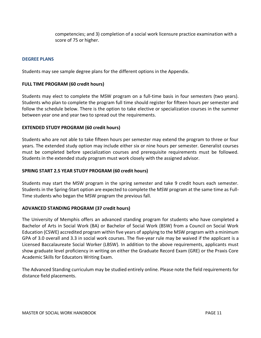competencies; and 3) completion of a social work licensure practice examination with a score of 75 or higher.

#### **DEGREE PLANS**

Students may see sample degree plans for the different options in the Appendix.

#### **FULL TIME PROGRAM (60 credit hours)**

Students may elect to complete the MSW program on a full-time basis in four semesters (two years). Students who plan to complete the program full time should register for fifteen hours per semester and follow the schedule below. There is the option to take elective or specialization courses in the summer between year one and year two to spread out the requirements.

#### **EXTENDED STUDY PROGRAM (60 credit hours)**

Students who are not able to take fifteen hours per semester may extend the program to three or four years. The extended study option may include either six or nine hours per semester. Generalist courses must be completed before specialization courses and prerequisite requirements must be followed. Students in the extended study program must work closely with the assigned advisor.

#### **SPRING START 2.5 YEAR STUDY PROGRAM (60 credit hours)**

Students may start the MSW program in the spring semester and take 9 credit hours each semester. Students in the Spring-Start option are expected to complete the MSW program at the same time as Full-Time students who began the MSW program the previous fall.

#### **ADVANCED STANDING PROGRAM (37 credit hours)**

The University of Memphis offers an advanced standing program for students who have completed a Bachelor of Arts in Social Work (BA) or Bachelor of Social Work (BSW) from a Council on Social Work Education (CSWE) accredited program within five years of applying to the MSW program with a minimum GPA of 3.0 overall and 3.3 in social work courses. The five-year rule may be waived if the applicant is a Licensed Baccalaureate Social Worker (LBSW). In addition to the above requirements, applicants must show graduate level proficiency in writing on either the Graduate Record Exam (GRE) or the Praxis Core Academic Skills for Educators Writing Exam.

The Advanced Standing curriculum may be studied entirely online. Please note the field requirements for distance field placements.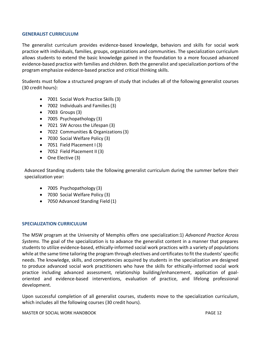#### **GENERALIST CURRICULUM**

The generalist curriculum provides evidence‐based knowledge, behaviors and skills for social work practice with individuals, families, groups, organizations and communities. The specialization curriculum allows students to extend the basic knowledge gained in the foundation to a more focused advanced evidence‐based practice with families and children. Both the generalist and specialization portions of the program emphasize evidence‐based practice and critical thinking skills.

Students must follow a structured program of study that includes all of the following generalist courses (30 credit hours):

- 7001 Social Work Practice Skills (3)
- 7002 Individuals and Families(3)
- 7003 Groups(3)
- 7005 Psychopathology (3)
- 7021 SW Across the Lifespan (3)
- 7022 Communities & Organizations(3)
- 7030 Social Welfare Policy (3)
- 7051 Field Placement I (3)
- 7052 Field Placement II (3)
- One Elective (3)

Advanced Standing students take the following generalist curriculum during the summer before their specialization year:

- 7005 Psychopathology (3)
- 7030 Social Welfare Policy (3)
- 7050 Advanced Standing Field (1)

#### **SPECIALIZATION CURRICULUM**

The MSW program at the University of Memphis offers one specialization:1) *Advanced Practice Across Systems*. The goal of the specialization is to advance the generalist content in a manner that prepares students to utilize evidence‐based, ethically‐informed social work practices with a variety of populations while at the same time tailoring the program through electives and certificates to fit the students' specific needs. The knowledge, skills, and competencies acquired by students in the specialization are designed to produce advanced social work practitioners who have the skills for ethically‐informed social work practice including advanced assessment, relationship building/enhancement, application of goal‐ oriented and evidence‐based interventions, evaluation of practice, and lifelong professional development.

Upon successful completion of all generalist courses, students move to the specialization curriculum, which includes all the following courses (30 credit hours).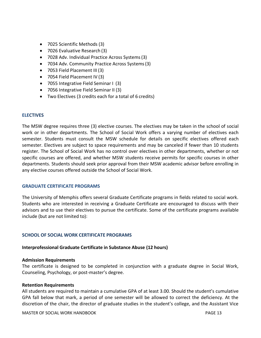- 7025 Scientific Methods (3)
- 7026 Evaluative Research (3)
- 7028 Adv. Individual Practice Across Systems(3)
- 7034 Adv. Community Practice Across Systems(3)
- 7053 Field Placement III (3)
- 7054 Field Placement IV (3)
- 7055 Integrative Field Seminar I (3)
- 7056 Integrative Field Seminar II (3)
- Two Electives (3 credits each for a total of 6 credits)

#### **ELECTIVES**

The MSW degree requires three (3) elective courses. The electives may be taken in the school of social work or in other departments. The School of Social Work offers a varying number of electives each semester. Students must consult the MSW schedule for details on specific electives offered each semester. Electives are subject to space requirements and may be canceled if fewer than 10 students register. The School of Social Work has no control over electives in other departments, whether or not specific courses are offered, and whether MSW students receive permits for specific courses in other departments. Students should seek prior approval from their MSW academic advisor before enrolling in any elective courses offered outside the School of Social Work.

#### **GRADUATE CERTIFICATE PROGRAMS**

The University of Memphis offers several Graduate Certificate programs in fields related to social work. Students who are interested in receiving a Graduate Certificate are encouraged to discuss with their advisors and to use their electives to pursue the certificate. Some of the certificate programs available include (but are not limited to):

#### **SCHOOL OF SOCIAL WORK CERTIFICATE PROGRAMS**

#### **Interprofessional Graduate Certificate in Substance Abuse (12 hours)**

#### **Admission Requirements**

The certificate is designed to be completed in conjunction with a graduate degree in Social Work, Counseling, Psychology, or post-master's degree.

#### **Retention Requirements**

All students are required to maintain a cumulative GPA of at least 3.00. Should the student's cumulative GPA fall below that mark, a period of one semester will be allowed to correct the deficiency. At the discretion of the chair, the director of graduate studies in the student's college, and the Assistant Vice

MASTER OF SOCIAL WORK HANDBOOK **PAGE 13**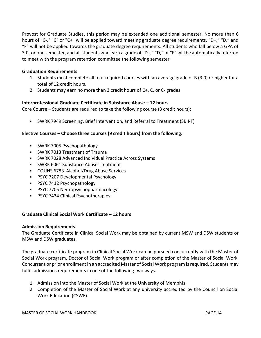Provost for Graduate Studies, this period may be extended one additional semester. No more than 6 hours of "C-," "C" or "C+" will be applied toward meeting graduate degree requirements. "D+," "D," and "F" will not be applied towards the graduate degree requirements. All students who fall below a GPA of 3.0 for one semester, and all students who earn a grade of "D+," "D," or "F" will be automatically referred to meet with the program retention committee the following semester.

#### **Graduation Requirements**

- 1. Students must complete all four required courses with an average grade of B (3.0) or higher for a total of 12 credit hours.
- 2. Students may earn no more than 3 credit hours of C+, C, or C- grades.

#### **Interprofessional Graduate Certificate in Substance Abuse – 12 hours**

Core Course – Students are required to take the following course (3 credit hours):

▪ SWRK 7949 Screening, Brief Intervention, and Referral to Treatment (SBIRT)

#### **Elective Courses – Choose three courses (9 credit hours) from the following:**

- SWRK 7005 Psychopathology
- SWRK 7013 Treatment of Trauma
- SWRK 7028 Advanced Individual Practice Across Systems
- **SWRK 6061 Substance Abuse Treatment**
- COUNS 6783 Alcohol/Drug Abuse Services
- PSYC 7207 Developmental Psychology
- PSYC 7412 Psychopathology
- PSYC 7705 Neuropsychopharmacology
- PSYC 7434 Clinical Psychotherapies

#### **Graduate Clinical Social Work Certificate – 12 hours**

#### **Admission Requirements**

The Graduate Certificate in Clinical Social Work may be obtained by current MSW and DSW students or MSW and DSW graduates.

The graduate certificate program in Clinical Social Work can be pursued concurrently with the Master of Social Work program, Doctor of Social Work program or after completion of the Master of Social Work. Concurrent or prior enrollment in an accredited Master of Social Work program is required. Students may fulfill admissions requirements in one of the following two ways.

- 1. Admission into the Master of Social Work at the University of Memphis.
- 2. Completion of the Master of Social Work at any university accredited by the Council on Social Work Education (CSWE).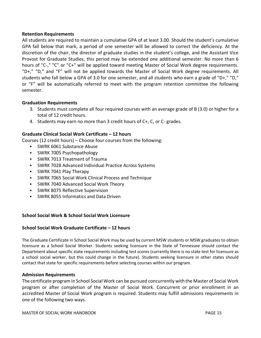#### **Retention Requirements**

All students are required to maintain a cumulative GPA of at least 3.00. Should the student's cumulative GPA fall below that mark, a period of one semester will be allowed to correct the deficiency. At the discretion of the chair, the director of graduate studies in the student's college, and the Assistant Vice Provost for Graduate Studies, this period may be extended one additional semester. No more than 6 hours of "C-," "C" or "C+" will be applied toward meeting Master of Social Work degree requirements. "D+," "D," and "F" will not be applied towards the Master of Social Work degree requirements. All students who fall below a GPA of 3.0 for one semester, and all students who earn a grade of "D+," "D," or "F" will be automatically referred to meet with the program retention committee the following semester.

#### **Graduation Requirements**

- 3. Students must complete all four required courses with an average grade of B (3.0) or higher for a total of 12 credit hours.
- 4. Students may earn no more than 3 credit hours of C+, C, or C- grades.

#### **Graduate Clinical Social Work Certificate – 12 hours**

Courses (12 credit hours) – Choose four courses from the following:

- SWRK 6061 Substance Abuse
- SWRK 7005 Psychopathology
- SWRK 7013 Treatment of Trauma
- SWRK 7028 Advanced Individual Practice Across Systems
- **SWRK 7041 Play Therapy**
- SWRK 7065 Social Work Clinical Process and Technique
- SWRK 7040 Advanced Social Work Theory
- **SWRK 8075 Reflective Supervision**
- **SWRK 8055 Informatics and Data Driven**

#### **School Social Work & School Social Work Licensure**

#### **School Social Work Graduate Certificate – 12 hours**

The Graduate Certificate in School Social Work may be used by current MSW students or MSW graduates to obtain licensure as a School Social Worker. Students seeking licensure in the State of Tennessee should contact the Department about specific state requirements including test scores (currently there is no state test for licensure as a school social worker, but this could change in the future). Students seeking licensure in other states should contact that state for specific requirements before selecting courses within our program.

#### **Admission Requirements**

The certificate program in School Social Work can be pursued concurrently with the Master of Social Work program or after completion of the Master of Social Work. Concurrent or prior enrollment in an accredited Master of Social Work program is required. Students may fulfill admissions requirements in one of the following two ways.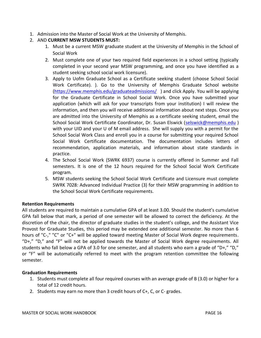- 1. Admission into the Master of Social Work at the University of Memphis.
- 2. AND **CURRENT MSW STUDENTS MUST:**
	- 1. Must be a current MSW graduate student at the University of Memphis in the School of Social Work
	- 2. Must complete one of your two required field experiences in a school setting (typically completed in your second year MSW programming, and once you have identified as a student seeking school social work licensure).
	- 3. Apply to Uofm Graduate School as a Certificate seeking student (choose School Social Work Certificate). ). Go to the University of Memphis Graduate School website [\(https://www.memphis.edu/graduateadmissions/](https://www.memphis.edu/graduateadmissions/) ) and click Apply. You will be applying for the Graduate Certificate in School Social Work. Once you have submitted your application (which will ask for your transcripts from your institution) I will review the information, and then you will receive additional information about next steps. Once you are admitted into the University of Memphis as a certificate seeking student, email the School Social Work Certificate Coordinator, Dr. Susan Elswick [\(selswick@memphis.edu](mailto:selswick@memphis.edu) ) with your UID and your U of M email address. She will supply you with a permit for the School Social Work Class and enroll you in a course for submitting your required School Social Work Certificate documentation. The documentation includes letters of recommendation, application materials, and information about state standards in practice.
	- 4. The School Social Work (SWRK 6937) course is currently offered in Summer and Fall semesters. It is one of the 12 hours required for the School Social Work Certificate program.
	- 5. MSW students seeking the School Social Work Certificate and Licensure must complete SWRK 7028: Advanced Individual Practice (3) for their MSW programming in addition to the School Social Work Certificate requirements.

#### **Retention Requirements**

All students are required to maintain a cumulative GPA of at least 3.00. Should the student's cumulative GPA fall below that mark, a period of one semester will be allowed to correct the deficiency. At the discretion of the chair, the director of graduate studies in the student's college, and the Assistant Vice Provost for Graduate Studies, this period may be extended one additional semester. No more than 6 hours of "C-," "C" or "C+" will be applied toward meeting Master of Social Work degree requirements. "D+," "D," and "F" will not be applied towards the Master of Social Work degree requirements. All students who fall below a GPA of 3.0 for one semester, and all students who earn a grade of "D+," "D," or "F" will be automatically referred to meet with the program retention committee the following semester.

#### **Graduation Requirements**

- 1. Students must complete all four required courses with an average grade of B (3.0) or higher for a total of 12 credit hours.
- 2. Students may earn no more than 3 credit hours of C+, C, or C- grades.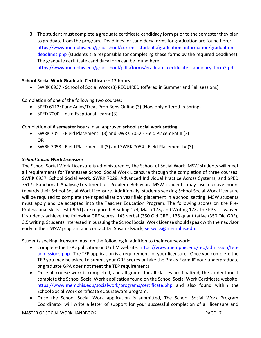3. The student must complete a graduate certificate candidacy form prior to the semester they plan to graduate from the program. Deadlines for candidacy forms for graduation are found here: https://www.memphis.edu/gradschool/current\_students/graduation\_information/graduation [deadlines.php](https://www.memphis.edu/gradschool/current_students/graduation_information/graduation_deadlines.php) (students are responsible for completing these forms by the required deadlines). The graduate certificate candidacy form can be found here: [https://www.memphis.edu/gradschool/pdfs/forms/graduate\\_certificate\\_candidacy\\_form2.pdf](https://www.memphis.edu/gradschool/pdfs/forms/graduate_certificate_candidacy_form2.pdf)

#### **School Social Work Graduate Certificate – 12 hours**

• SWRK 6937 - School of Social Work (3) REQUIRED (offered in Summer and Fall sessions)

Completion of one of the following two courses:

- SPED 6112: Func Anlys/Treat Prob Behv Online (3) (Now only offered in Spring)
- SPED 7000 Intro Excptional Learnr (3)

#### Completion of **6 semester hours** in an approved **school social work setting**.

- SWRK 7051 Field Placement I (3) and SWRK 7052 Field Placement II (3) **OR**
- SWRK 7053 Field Placement III (3) and SWRK 7054 Field Placement IV (3).

#### *School Social Work Licensure*

The School Social Work Licensure is administered by the School of Social Work. MSW students will meet all requirements for Tennessee School Social Work Licensure through the completion of three courses: SWRK 6937: School Social Work, SWRK 7028: Advanced Individual Practice Across Systems, and SPED 7517: Functional Analysis/Treatment of Problem Behavior. MSW students may use elective hours towards their School Social Work Licensure. Additionally, students seeking School Social Work Licensure will be required to complete their specialization year field placement in a school setting. MSW students must apply and be accepted into the Teacher Education Program. The following scores on the Pre‐ Professional Skills Test (PPST) are required: Reading 174, Math 173, and Writing 173. The PPST is waived if students achieve the following GRE scores: 143 verbal (350 Old GRE), 138 quantitative (350 Old GRE), 3.5 writing. Students interested in pursuing the School Social Work License should speak with their advisor early in their MSW program and contact Dr. Susan Elswick, [selswick@memphis.edu.](mailto:selswick@memphis.edu)

Students seeking licensure must do the following in addition to their coursework:

- Complete the TEP application on U of M website: [https://www.memphis.edu/tep/admission/tep](https://www.memphis.edu/tep/admission/tep-admissions.php)[admissions.php](https://www.memphis.edu/tep/admission/tep-admissions.php) The TEP application is a requirement for your licensure. Once you complete the TEP you may be asked to submit your GRE scores or take the Praxis Exam **IF** your undergraduate or graduate GPA does not meet the TEP requirements.
- Once all course work is completed, and all grades for all classes are finalized, the student must complete the School Social Work application found on the School Social Work Certificate website: <https://www.memphis.edu/socialwork/programs/certificate.php> and also found within the School Social Work certificate eCourseware program.
- Once the School Social Work application is submitted, The School Social Work Program Coordinator will write a letter of support for your successful completion of all licensure and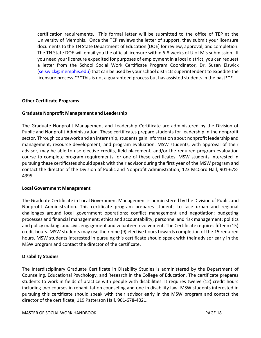certification requirements. This formal letter will be submitted to the office of TEP at the University of Memphis. Once the TEP reviews the letter of support, they submit your licensure documents to the TN State Department of Education (DOE) for review, approval, and completion. The TN State DOE will email you the official licensure within 6-8 weeks of U of M's submission. If you need your licensure expedited for purposes of employment in a local district, you can request a letter from the School Social Work Certificate Program Coordinator, Dr. Susan Elswick [\(selswick@memphis.edu\)](mailto:selswick@memphis.edu) that can be used by your school districts superintendent to expedite the licensure process.\*\*\*This is not a guaranteed process but has assisted students in the past\*\*\*

#### **Other Certificate Programs**

#### **Graduate Nonprofit Management and Leadership**

The Graduate Nonprofit Management and Leadership Certificate are administered by the Division of Public and Nonprofit Administration. These certificates prepare students for leadership in the nonprofit sector. Through coursework and an internship, students gain information about nonprofit leadership and management, resource development, and program evaluation. MSW students, with approval of their advisor, may be able to use elective credits, field placement, and/or the required program evaluation course to complete program requirements for one of these certificates. MSW students interested in pursuing these certificates should speak with their advisor during the first year of the MSW program and contact the director of the Division of Public and Nonprofit Administration, 123 McCord Hall, 901‐678‐ 4395.

#### **Local Government Management**

The Graduate Certificate in Local Government Management is administered by the Division of Public and Nonprofit Administration. This certificate program prepares students to face urban and regional challenges around local government operations; conflict management and negotiation; budgeting processes and financial management; ethics and accountability; personnel and risk management; politics and policy making; and civic engagement and volunteer involvement. The Certificate requires fifteen (15) credit hours. MSW students may use their nine (9) elective hours towards completion of the 15 required hours. MSW students interested in pursuing this certificate should speak with their advisor early in the MSW program and contact the director of the certificate.

#### **Disability Studies**

The Interdisciplinary Graduate Certificate in Disability Studies is administered by the Department of Counseling, Educational Psychology, and Research in the College of Education. The certificate prepares students to work in fields of practice with people with disabilities. It requires twelve (12) credit hours including two courses in rehabilitation counseling and one in disability law. MSW students interested in pursuing this certificate should speak with their advisor early in the MSW program and contact the director of the certificate, 119 Patterson Hall, 901‐678‐4021.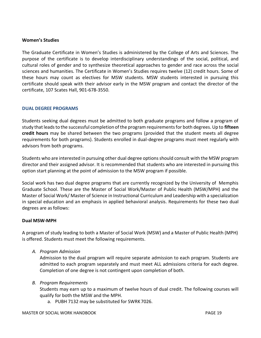#### **Women's Studies**

The Graduate Certificate in Women's Studies is administered by the College of Arts and Sciences. The purpose of the certificate is to develop interdisciplinary understandings of the social, political, and cultural roles of gender and to synthesize theoretical approaches to gender and race across the social sciences and humanities. The Certificate in Women's Studies requires twelve (12) credit hours. Some of these hours may count as electives for MSW students. MSW students interested in pursuing this certificate should speak with their advisor early in the MSW program and contact the director of the certificate, 107 Scates Hall, 901‐678‐3550.

#### **DUAL DEGREE PROGRAMS**

Students seeking dual degrees must be admitted to both graduate programs and follow a program of study that leads to the successful completion of the program requirements for both degrees. Up to **fifteen credit hours** may be shared between the two programs (provided that the student meets all degree requirements for both programs). Students enrolled in dual-degree programs must meet regularly with advisors from both programs.

Students who are interested in pursuing other dual degree options should consult with the MSW program director and their assigned advisor. It is recommended that students who are interested in pursuing this option start planning at the point of admission to the MSW program if possible.

Social work has two dual degree programs that are currently recognized by the University of Memphis Graduate School. These are the Master of Social Work/Master of Public Health (MSW/MPH) and the Master of Social Work/ Master of Science in Instructional Curriculum and Leadership with a specialization in special education and an emphasis in applied behavioral analysis. Requirements for these two dual degrees are asfollows:

#### **Dual MSW‐MPH**

A program of study leading to both a Master of Social Work (MSW) and a Master of Public Health (MPH) is offered. Students must meet the following requirements.

*A. Program Admission*

Admission to the dual program will require separate admission to each program. Students are admitted to each program separately and must meet ALL admissions criteria for each degree. Completion of one degree is not contingent upon completion of both.

*B. Program Requirements*

Students may earn up to a maximum of twelve hours of dual credit. The following courses will qualify for both the MSW and the MPH.

a. PUBH 7132 may be substituted for SWRK 7026.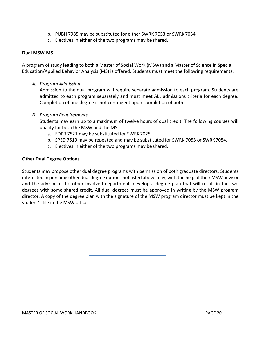- b. PUBH 7985 may be substituted for either SWRK 7053 or SWRK 7054.
- c. Electives in either of the two programs may be shared.

#### **Dual MSW‐MS**

A program of study leading to both a Master of Social Work (MSW) and a Master of Science in Special Education/Applied Behavior Analysis (MS) is offered. Students must meet the following requirements.

*A. Program Admission*

Admission to the dual program will require separate admission to each program. Students are admitted to each program separately and must meet ALL admissions criteria for each degree. Completion of one degree is not contingent upon completion of both.

#### *B. Program Requirements*

Students may earn up to a maximum of twelve hours of dual credit. The following courses will qualify for both the MSW and the MS.

- a. EDPR 7521 may be substituted for SWRK 7025.
- b. SPED 7519 may be repeated and may be substituted for SWRK 7053 or SWRK7054.
- c. Electives in either of the two programs may be shared.

#### **Other Dual Degree Options**

Students may propose other dual degree programs with permission of both graduate directors. Students interested in pursuing other dual degree options not listed above may, with the help of their MSW advisor **and** the advisor in the other involved department, develop a degree plan that will result in the two degrees with some shared credit. All dual degrees must be approved in writing by the MSW program director. A copy of the degree plan with the signature of the MSW program director must be kept in the student's file in the MSW office.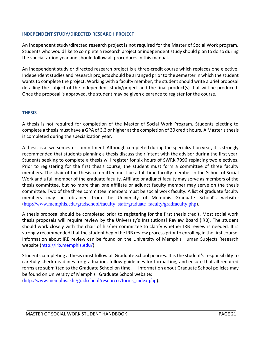#### **INDEPENDENT STUDY/DIRECTED RESEARCH PROJECT**

An independent study/directed research project is not required for the Master of Social Work program. Students who would like to complete a research project or independent study should plan to do so during the specialization year and should follow all procedures in this manual.

An independent study or directed research project is a three‐credit course which replaces one elective. Independent studies and research projects should be arranged prior to the semester in which the student wants to complete the project. Working with a faculty member, the student should write a brief proposal detailing the subject of the independent study/project and the final product(s) that will be produced. Once the proposal is approved, the student may be given clearance to register for the course.

#### **THESIS**

A thesis is not required for completion of the Master of Social Work Program. Students electing to complete a thesis must have a GPA of 3.3 or higher at the completion of 30 credit hours. A Master's thesis is completed during the specialization year.

A thesis is a two‐semester commitment. Although completed during the specialization year, it is strongly recommended that students planning a thesis discuss their intent with the advisor during the first year. Students seeking to complete a thesis will register for six hours of SWRK 7996 replacing two electives. Prior to registering for the first thesis course, the student must form a committee of three faculty members. The chair of the thesis committee must be a full‐time faculty member in the School of Social Work and a full member of the graduate faculty. Affiliate or adjunct faculty may serve as members of the thesis committee, but no more than one affiliate or adjunct faculty member may serve on the thesis committee. Two of the three committee members must be social work faculty. A list of graduate faculty members may be obtained from the University of Memphis Graduate School's website: ([http://www.memphis.edu/gradschool/faculty\\_staff/graduate\\_faculty/gradfaculty.php](http://www.memphis.edu/gradschool/faculty_staff/graduate_faculty/gradfaculty.php))[\).](http://www.memphis.edu/gradschool/faculty_staff/graduate_faculty/gradfaculty.php))

A thesis proposal should be completed prior to registering for the first thesis credit. Most social work thesis proposals will require review by the University's Institutional Review Board (IRB). The student should work closely with the chair of his/her committee to clarify whether IRB review is needed. It is strongly recommended that the student begin the IRB review process prior to enrolling in the first course. Information about IRB review can be found on the University of Memphis Human Subjects Research website [\(http://irb.memphis.edu/\).](http://irb.memphis.edu/))

Students completing a thesis must follow all Graduate School policies. It is the student's responsibility to carefully check deadlines for graduation, follow guidelines for formatting, and ensure that all required forms are submitted to the Graduate School on time. Information about Graduate School policies may be found on University of Memphis Graduate School website:

([http://www.memphis.edu/gradschool/resources/forms\\_index.php](http://www.memphis.edu/gradschool/resources/forms_index.php))[\).](http://www.memphis.edu/gradschool/resources/forms_index.php))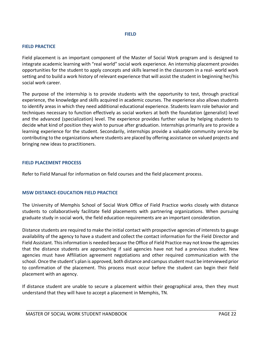#### **FIELD**

#### **FIELD PRACTICE**

Field placement is an important component of the Master of Social Work program and is designed to integrate academic learning with "real world" social work experience. An internship placement provides opportunities for the student to apply concepts and skills learned in the classroom in a real‐ world work setting and to build a work history of relevant experience that will assist the student in beginning her/his social work career.

The purpose of the internship is to provide students with the opportunity to test, through practical experience, the knowledge and skills acquired in academic courses. The experience also allows students to identify areas in which they need additional educational experience. Students learn role behavior and techniques necessary to function effectively as social workers at both the foundation (generalist) level and the advanced (specialization) level. The experience provides further value by helping students to decide what kind of position they wish to pursue after graduation. Internships primarily are to provide a learning experience for the student. Secondarily, internships provide a valuable community service by contributing to the organizations where students are placed by offering assistance on valued projects and bringing new ideas to practitioners.

#### **FIELD PLACEMENT PROCESS**

Refer to Field Manual for information on field courses and the field placement process.

#### **MSW DISTANCE-EDUCATION FIELD PRACTICE**

The University of Memphis School of Social Work Office of Field Practice works closely with distance students to collaboratively facilitate field placements with partnering organizations. When pursuing graduate study in social work, the field education requirements are an important consideration.

Distance students are required to make the initial contact with prospective agencies of interests to gauge availability of the agency to have a student and collect the contact information for the Field Director and Field Assistant. This information is needed because the Office of Field Practice may not know the agencies that the distance students are approaching if said agencies have not had a previous student. New agencies must have Affiliation agreement negotiations and other required communication with the school. Once the student's plan is approved, both distance and campus student must be interviewed prior to confirmation of the placement. This process must occur before the student can begin their field placement with an agency.

If distance student are unable to secure a placement within their geographical area, then they must understand that they will have to accept a placement in Memphis, TN.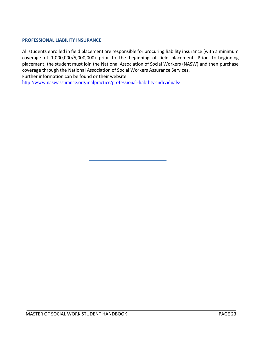#### **PROFESSIONAL LIABILITY INSURANCE**

All students enrolled in field placement are responsible for procuring liability insurance (with a minimum coverage of 1,000,000/5,000,000) prior to the beginning of field placement. Prior to beginning placement, the student must join the National Association of Social Workers (NASW) and then purchase coverage through the National Association of Social Workers Assurance Services. Further information can be found ontheir website:

<http://www.naswassurance.org/malpractice/professional-liability-individuals/>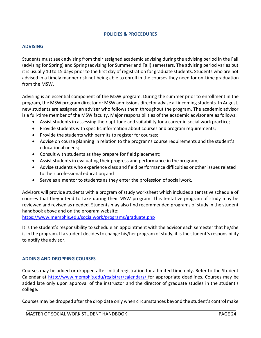#### **POLICIES & PROCEDURES**

#### **ADVISING**

Students must seek advising from their assigned academic advising during the advising period in the Fall (advising for Spring) and Spring (advising for Summer and Fall) semesters. The advising period varies but it is usually 10 to 15 days prior to the first day of registration for graduate students. Students who are not advised in a timely manner risk not being able to enroll in the courses they need for on-time graduation from the MSW.

Advising is an essential component of the MSW program. During the summer prior to enrollment in the program, the MSW program director or MSW admissions director advise all incoming students. In August, new students are assigned an adviser who follows them throughout the program. The academic advisor is a full‐time member of the MSW faculty. Major responsibilities of the academic advisor are as follows:

- Assist students in assessing their aptitude and suitability for a career in social work practice;
- Provide students with specific information about courses and program requirements;
- Provide the students with permits to register for courses;
- Advise on course planning in relation to the program's course requirements and the student's educational needs;
- Consult with students as they prepare for field placement;
- Assist students in evaluating their progress and performance in theprogram;
- Advise students who experience class and field performance difficulties or other issues related to their professional education; and
- Serve as a mentor to students as they enter the profession of socialwork.

Advisors will provide students with a program of study worksheet which includes a tentative schedule of courses that they intend to take during their MSW program. This tentative program of study may be reviewed and revised as needed. Students may also find recommended programs of study in the student handbook above and on the program website:

<https://www.memphis.edu/socialwork/programs/graduate.php>

It is the student's responsibility to schedule an appointment with the advisor each semester that he/she is in the program. If a student decides to change his/her program of study, it is the student's responsibility to notify the advisor.

#### **ADDING AND DROPPING COURSES**

Courses may be added or dropped after initial registration for a limited time only. Refer to the Student Calendar at [http://www.memphis.edu/registrar/calendars/ f](http://www.memphis.edu/registrar/calendars/)or appropriate deadlines. Courses may be added late only upon approval of the instructor and the director of graduate studies in the student's college.

Courses may be dropped after the drop date only when circumstances beyond the student's control make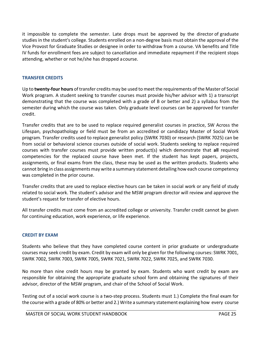it impossible to complete the semester. Late drops must be approved by the director of graduate studies in the student's college. Students enrolled on a non‐degree basis must obtain the approval of the Vice Provost for Graduate Studies or designee in order to withdraw from a course. VA benefits and Title IV funds for enrollment fees are subject to cancellation and immediate repayment if the recipient stops attending, whether or not he/she has dropped acourse.

#### **TRANSFER CREDITS**

Up to **twenty‐four hours** of transfer credits may be used to meet the requirements of the Master of Social Work program. A student seeking to transfer courses must provide his/her advisor with 1) a transcript demonstrating that the course was completed with a grade of B or better and 2) a syllabus from the semester during which the course was taken. Only graduate level courses can be approved for transfer credit.

Transfer credits that are to be used to replace required generalist courses in practice, SW Across the Lifespan, psychopathology or field must be from an accredited or candidacy Master of Social Work program. Transfer credits used to replace generalist policy (SWRK 7030) or research (SWRK 7025) can be from social or behavioral science courses outside of social work. Students seeking to replace required courses with transfer courses must provide written product(s) which demonstrate that **all** required competencies for the replaced course have been met. If the student has kept papers, projects, assignments, or final exams from the class, these may be used as the written products. Students who cannot bring in class assignments may write a summary statement detailing how each course competency was completed in the prior course.

Transfer credits that are used to replace elective hours can be taken in social work or any field of study related to social work. The student's advisor and the MSW program director will review and approve the student's request for transfer of elective hours.

All transfer credits must come from an accredited college or university. Transfer credit cannot be given for continuing education, work experience, or life experience.

#### **CREDIT BY EXAM**

Students who believe that they have completed course content in prior graduate or undergraduate courses may seek credit by exam. Credit by exam will only be given for the following courses: SWRK 7001, SWRK 7002, SWRK 7003, SWRK 7005, SWRK 7021, SWRK 7022, SWRK 7025, and SWRK 7030.

No more than nine credit hours may be granted by exam. Students who want credit by exam are responsible for obtaining the appropriate graduate school form and obtaining the signatures of their advisor, director of the MSW program, and chair of the School of Social Work.

Testing out of a social work course is a two‐step process. Students must 1.) Complete the final exam for the course with a grade of 80% or better and 2.) Write a summary statement explaining how every course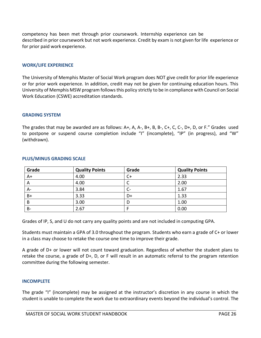competency has been met through prior coursework. Internship experience can be described in prior coursework but not work experience. Credit by exam is not given for life experience or for prior paid work experience.

#### **WORK/LIFE EXPERIENCE**

The University of Memphis Master of Social Work program does NOT give credit for prior life experience or for prior work experience. In addition, credit may not be given for continuing education hours. This University of Memphis MSW program follows this policy strictly to be in compliance with Council on Social Work Education (CSWE) accreditation standards.

#### **GRADING SYSTEM**

The grades that may be awarded are as follows: A+, A, A‐, B+, B, B‐, C+, C, C‐, D+, D, or F." Grades used to postpone or suspend course completion include "I" (incomplete), "IP" (in progress), and "W" (withdrawn).

| Grade     | <b>Quality Points</b> | Grade | <b>Quality Points</b> |
|-----------|-----------------------|-------|-----------------------|
| $A+$      | 4.00                  | $C+$  | 2.33                  |
| A         | 4.00                  | ◡     | 2.00                  |
| A-        | 3.84                  |       | 1.67                  |
| B+        | 3.33                  | D+    | 1.33                  |
| B         | 3.00                  | D     | 1.00                  |
| <b>B-</b> | 2.67                  |       | 0.00                  |

#### **PLUS/MINUS GRADING SCALE**

Grades of IP, S, and U do not carry any quality points and are not included in computing GPA.

Students must maintain a GPA of 3.0 throughout the program. Students who earn a grade of C+ or lower in a class may choose to retake the course one time to improve their grade.

A grade of D+ or lower will not count toward graduation. Regardless of whether the student plans to retake the course, a grade of D+, D, or F will result in an automatic referral to the program retention committee during the following semester.

#### **INCOMPLETE**

The grade "I" (incomplete) may be assigned at the instructor's discretion in any course in which the student is unable to complete the work due to extraordinary events beyond the individual's control. The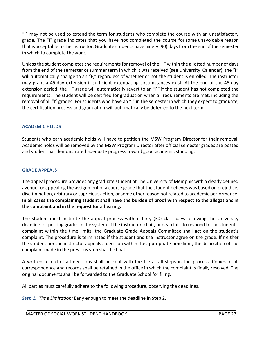"I" may not be used to extend the term for students who complete the course with an unsatisfactory grade. The "I" grade indicates that you have not completed the course for some unavoidable reason that is acceptable to the instructor. Graduate students have ninety (90) days from the end of the semester in which to complete thework.

Unless the student completes the requirements for removal of the "I" within the allotted number of days from the end of the semester or summer term in which it was received (see University Calendar), the "I" will automatically change to an "F," regardless of whether or not the student is enrolled. The instructor may grant a 45‐day extension if sufficient extenuating circumstances exist. At the end of the 45‐day extension period, the "I" grade will automatically revert to an "F" if the student has not completed the requirements. The student will be certified for graduation when all requirements are met, including the removal of all "I" grades. For students who have an "I" in the semester in which they expect to graduate, the certification process and graduation will automatically be deferred to the next term.

#### **ACADEMIC HOLDS**

Students who earn academic holds will have to petition the MSW Program Director for their removal. Academic holds will be removed by the MSW Program Director after official semester grades are posted and student has demonstrated adequate progress toward good academic standing.

#### **GRADE APPEALS**

The appeal procedure provides any graduate student at The University of Memphis with a clearly defined avenue for appealing the assignment of a course grade that the student believes was based on prejudice, discrimination, arbitrary or capricious action, or some other reason not related to academic performance. **In all cases the complaining student shall have the burden of proof with respect to the allegations in the complaint and in the request for a hearing.**

The student must institute the appeal process within thirty (30) class days following the University deadline for posting grades in the system. If the instructor, chair, or dean fails to respond to the student's complaint within the time limits, the Graduate Grade Appeals Committee shall act on the student's complaint. The procedure is terminated if the student and the instructor agree on the grade. If neither the student nor the instructor appeals a decision within the appropriate time limit, the disposition of the complaint made in the previous step shall befinal.

A written record of all decisions shall be kept with the file at all steps in the process. Copies of all correspondence and records shall be retained in the office in which the complaint is finally resolved. The original documents shall be forwarded to the Graduate School for filing.

All parties must carefully adhere to the following procedure, observing the deadlines.

*Step 1: Time Limitation:* Early enough to meet the deadline in Step 2.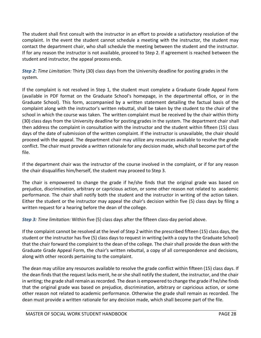The student shall first consult with the instructor in an effort to provide a satisfactory resolution of the complaint. In the event the student cannot schedule a meeting with the instructor, the student may contact the department chair, who shall schedule the meeting between the student and the instructor. If for any reason the instructor is not available, proceed to Step 2. If agreement is reached between the student and instructor, the appeal process ends.

*Step 2*: *Time Limitation:* Thirty (30) class days from the University deadline for posting grades in the system.

If the complaint is not resolved in Step 1, the student must complete a Graduate Grade Appeal Form (available in PDF format on the Graduate School's homepage, in the departmental office, or in the Graduate School). This form, accompanied by a written statement detailing the factual basis of the complaint along with the instructor's written rebuttal, shall be taken by the student to the chair of the school in which the course was taken. The written complaint must be received by the chair within thirty (30) class days from the University deadline for posting grades in the system. The department chair shall then address the complaint in consultation with the instructor and the student within fifteen (15) class days of the date of submission of the written complaint. If the instructor is unavailable, the chair should proceed with the appeal. The department chair may utilize any resources available to resolve the grade conflict. The chair must provide a written rationale for any decision made, which shall become part of the file.

If the department chair was the instructor of the course involved in the complaint, or if for any reason the chair disqualifies him/herself, the student may proceed to Step 3.

The chair is empowered to change the grade if he/she finds that the original grade was based on prejudice, discrimination, arbitrary or capricious action, or some other reason not related to academic performance. The chair shall notify both the student and the instructor in writing of the action taken. Either the student or the instructor may appeal the chair's decision within five (5) class days by filing a written request for a hearing before the dean of the college.

*Step 3: Time limitation:* Within five (5) class days after the fifteen class‐day period above.

If the complaint cannot be resolved at the level of Step 2 within the prescribed fifteen (15) class days, the student or the instructor has five (5) class days to request in writing (with a copy to the Graduate School) that the chair forward the complaint to the dean of the college. The chair shall provide the dean with the Graduate Grade Appeal Form, the chair's written rebuttal, a copy of all correspondence and decisions, along with other records pertaining to the complaint.

The dean may utilize any resources available to resolve the grade conflict within fifteen (15) class days. If the dean finds that the request lacks merit, he or she shall notify the student, the instructor, and the chair in writing; the grade shall remain as recorded. The dean is empowered to change the grade if he/she finds that the original grade was based on prejudice, discrimination, arbitrary or capricious action, or some other reason not related to academic performance. Otherwise the grade shall remain as recorded. The dean must provide a written rationale for any decision made, which shall become part of the file.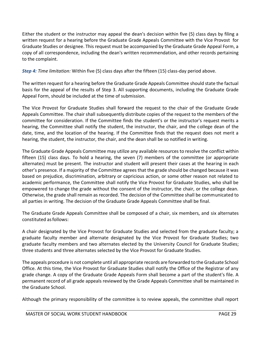Either the student or the instructor may appeal the dean's decision within five (5) class days by filing a written request for a hearing before the Graduate Grade Appeals Committee with the Vice Provost for Graduate Studies or designee. This request must be accompanied by the Graduate Grade Appeal Form, a copy of all correspondence, including the dean's written recommendation, and other records pertaining to the complaint.

*Step 4: Time limitation:* Within five (5) class days after the fifteen (15) class‐day period above.

The written request for a hearing before the Graduate Grade Appeals Committee should state the factual basis for the appeal of the results of Step 3. All supporting documents, including the Graduate Grade Appeal Form, should be included at the time of submission.

The Vice Provost for Graduate Studies shall forward the request to the chair of the Graduate Grade Appeals Committee. The chair shall subsequently distribute copies of the request to the members of the committee for consideration. If the Committee finds the student's or the instructor's request merits a hearing, the Committee shall notify the student, the instructor, the chair, and the college dean of the date, time, and the location of the hearing. If the Committee finds that the request does not merit a hearing, the student, the instructor, the chair, and the dean shall be so notified in writing.

The Graduate Grade Appeals Committee may utilize any available resources to resolve the conflict within fifteen (15) class days. To hold a hearing, the seven (7) members of the committee (or appropriate alternates) must be present. The instructor and student will present their cases at the hearing in each other's presence. If a majority of the Committee agrees that the grade should be changed because it was based on prejudice, discrimination, arbitrary or capricious action, or some other reason not related to academic performance, the Committee shall notify the Vice Provost for Graduate Studies, who shall be empowered to change the grade without the consent of the instructor, the chair, or the college dean. Otherwise, the grade shall remain as recorded. The decision of the Committee shall be communicated to all parties in writing. The decision of the Graduate Grade Appeals Committee shall be final.

The Graduate Grade Appeals Committee shall be composed of a chair, six members, and six alternates constituted asfollows:

A chair designated by the Vice Provost for Graduate Studies and selected from the graduate faculty; a graduate faculty member and alternate designated by the Vice Provost for Graduate Studies; two graduate faculty members and two alternates elected by the University Council for Graduate Studies; three students and three alternates selected by the Vice Provost for Graduate Studies.

The appeals procedure is not complete until all appropriate records are forwarded to the Graduate School Office. At this time, the Vice Provost for Graduate Studies shall notify the Office of the Registrar of any grade change. A copy of the Graduate Grade Appeals Form shall become a part of the student's file. A permanent record of all grade appeals reviewed by the Grade Appeals Committee shall be maintained in the Graduate School.

Although the primary responsibility of the committee is to review appeals, the committee shall report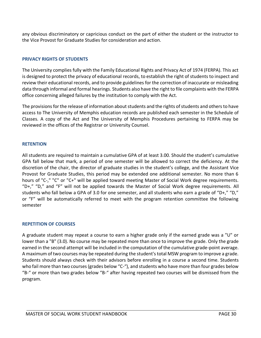any obvious discriminatory or capricious conduct on the part of either the student or the instructor to the Vice Provost for Graduate Studies for consideration and action.

#### **PRIVACY RIGHTS OF STUDENTS**

The University complies fully with the Family Educational Rights and Privacy Act of 1974 (FERPA). This act is designed to protect the privacy of educational records, to establish the right of students to inspect and review their educational records, and to provide guidelines for the correction of inaccurate or misleading data through informal and formal hearings. Students also have the right to file complaints with the FERPA office concerning alleged failures by the institution to comply with the Act.

The provisions for the release of information about students and the rights of students and others to have access to The University of Memphis education records are published each semester in the Schedule of Classes. A copy of the Act and The University of Memphis Procedures pertaining to FERPA may be reviewed in the offices of the Registrar or University Counsel.

#### **RETENTION**

All students are required to maintain a cumulative GPA of at least 3.00. Should the student's cumulative GPA fall below that mark, a period of one semester will be allowed to correct the deficiency. At the discretion of the chair, the director of graduate studies in the student's college, and the Assistant Vice Provost for Graduate Studies, this period may be extended one additional semester. No more than 6 hours of "C‐," "C" or "C+" will be applied toward meeting Master of Social Work degree requirements. "D+," "D," and "F" will not be applied towards the Master of Social Work degree requirements. All students who fall below a GPA of 3.0 for one semester, and all students who earn a grade of "D+," "D," or "F" will be automatically referred to meet with the program retention committee the following semester

#### **REPETITION OF COURSES**

A graduate student may repeat a course to earn a higher grade only if the earned grade was a "U" or lower than a "B" (3.0). No course may be repeated more than once to improve the grade. Only the grade earned in the second attempt will be included in the computation of the cumulative grade-point average. A maximum of two courses may be repeated during the student's total MSW program to improve a grade. Students should always check with their advisors before enrolling in a course a second time. Students who fail more than two courses (grades below "C-"), and students who have more than four grades below "B-" or more than two grades below "B-" after having repeated two courses will be dismissed from the program.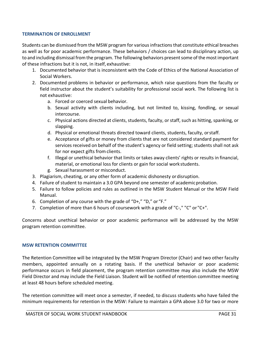#### **TERMINATION OF ENROLLMENT**

Students can be dismissed from the MSW program for various infractions that constitute ethical breaches as well as for poor academic performance. These behaviors / choices can lead to disciplinary action, up to and including dismissal from the program. The following behaviors present some of the most important of these infractions but it is not, in itself, exhaustive:

- 1. Documented behavior that is inconsistent with the Code of Ethics of the National Association of Social Workers.
- 2. Documented problems in behavior or performance, which raise questions from the faculty or field instructor about the student's suitability for professional social work. The following list is not exhaustive:
	- a. Forced or coerced sexual behavior.
	- b. Sexual activity with clients including, but not limited to, kissing, fondling, or sexual intercourse.
	- c. Physical actions directed at clients, students, faculty, or staff, such as hitting, spanking, or slapping.
	- d. Physical or emotional threats directed toward clients, students, faculty, orstaff.
	- e. Acceptance of gifts or money from clients that are not considered standard payment for services received on behalf of the student's agency or field setting; students shall not ask for nor expect gifts from clients.
	- f. Illegal or unethical behavior that limits or takes away clients' rights or results in financial, material, or emotional loss for clients or gain for social work students.
	- g. Sexual harassment or misconduct.
- 3. Plagiarism, cheating, or any other form of academic dishonesty ordisruption.
- 4. Failure of student to maintain a 3.0 GPA beyond one semester of academicprobation.
- 5. Failure to follow policies and rules as outlined in the MSW Student Manual or the MSW Field Manual.
- 6. Completion of any course with the grade of "D+," "D," or "F."
- 7. Completion of more than 6 hours of coursework with a grade of "C-," "C" or "C+".

Concerns about unethical behavior or poor academic performance will be addressed by the MSW program retention committee.

#### **MSW RETENTION COMMITTEE**

The Retention Committee will be integrated by the MSW Program Director (Chair) and two other faculty members, appointed annually on a rotating basis. If the unethical behavior or poor academic performance occurs in field placement, the program retention committee may also include the MSW Field Director and may include the Field Liaison. Student will be notified of retention committee meeting at least 48 hours before scheduled meeting.

The retention committee will meet once a semester, if needed, to discuss students who have failed the minimum requirements for retention in the MSW: Failure to maintain a GPA above 3.0 for two or more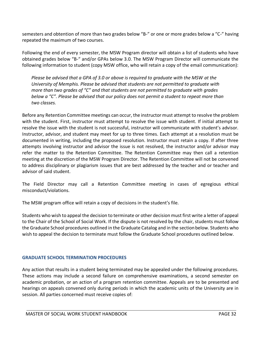semesters and obtention of more than two grades below "B-" or one or more grades below a "C-" having repeated the maximum of two courses.

Following the end of every semester, the MSW Program director will obtain a list of students who have obtained grades below "B-" and/or GPAs below 3.0. The MSW Program Director will communicate the following information to student (copy MSW office, who will retain a copy of the email communication):

*Please be advised that a GPA of 3.0 or above is required to graduate with the MSW at the University of Memphis. Please be advised that students are not permitted to graduate with more than two grades of "C" and that students are not permitted to graduate with grades below a "C". Please be advised that our policy does not permit a student to repeat more than two classes.*

Before any Retention Committee meetings can occur, the instructor must attempt to resolve the problem with the student. First, instructor must attempt to resolve the issue with student. If initial attempt to resolve the issue with the student is not successful, instructor will communicate with student's advisor. Instructor, advisor, and student may meet for up to three times. Each attempt at a resolution must be documented in writing, including the proposed resolution. Instructor must retain a copy. If after three attempts involving instructor and advisor the issue is not resolved, the instructor and/or advisor may refer the matter to the Retention Committee. The Retention Committee may then call a retention meeting at the discretion of the MSW Program Director. The Retention Committee will not be convened to address disciplinary or plagiarism issues that are best addressed by the teacher and or teacher and advisor of said student.

The Field Director may call a Retention Committee meeting in cases of egregious ethical misconduct/violations.

The MSW program office will retain a copy of decisions in the student's file.

Students who wish to appeal the decision to terminate or other decision must first write a letter of appeal to the Chair of the School of Social Work. If the dispute is not resolved by the chair, students must follow the Graduate School procedures outlined in the Graduate Catalog and in the sectionbelow. Students who wish to appeal the decision to terminate must follow the Graduate School procedures outlined below.

#### **GRADUATE SCHOOL TERMINATION PROCEDURES**

Any action that results in a student being terminated may be appealed under the following procedures. These actions may include a second failure on comprehensive examinations, a second semester on academic probation, or an action of a program retention committee. Appeals are to be presented and hearings on appeals convened only during periods in which the academic units of the University are in session. All parties concerned must receive copies of: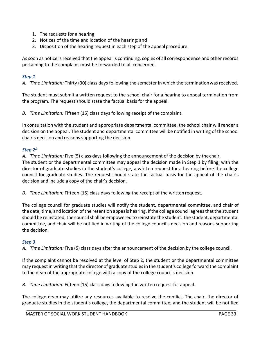- 1. The requests for a hearing;
- 2. Notices of the time and location of the hearing; and
- 3. Disposition of the hearing request in each step of the appeal procedure.

As soon as notice is received that the appeal is continuing, copies of all correspondence and other records pertaining to the complaint must be forwarded to all concerned.

#### *Step 1*

*A. Time Limitation:* Thirty (30) class days following the semester in which the terminationwas received.

The student must submit a written request to the school chair for a hearing to appeal termination from the program. The request should state the factual basis for the appeal.

*B. Time Limitation:* Fifteen (15) class days following receipt of the complaint.

In consultation with the student and appropriate departmental committee, the school chair will render a decision on the appeal. The student and departmental committee will be notified in writing of the school chair's decision and reasons supporting the decision.

#### *Step 2<sup>1</sup>*

*A. Time Limitation:* Five (5) class days following the announcement of the decision by thechair.

The student or the departmental committee may appeal the decision made in Step 1 by filing, with the director of graduate studies in the student's college, a written request for a hearing before the college council for graduate studies. The request should state the factual basis for the appeal of the chair's decision and include a copy of the chair's decision.

*B. Time Limitation:* Fifteen (15) class days following the receipt of the written request.

The college council for graduate studies will notify the student, departmental committee, and chair of the date, time, and location of the retention appeals hearing. If the college council agrees that the student should be reinstated, the council shall be empowered to reinstate the student. The student, departmental committee, and chair will be notified in writing of the college council's decision and reasons supporting the decision.

#### *Step 3*

*A. Time Limitation:* Five (5) class days after the announcement of the decision by the college council.

If the complaint cannot be resolved at the level of Step 2, the student or the departmental committee may request in writing that the director of graduate studies in the student's college forward the complaint to the dean of the appropriate college with a copy of the college council's decision.

*B. Time Limitation:* Fifteen (15) class days following the written request for appeal.

The college dean may utilize any resources available to resolve the conflict. The chair, the director of graduate studies in the student's college, the departmental committee, and the student will be notified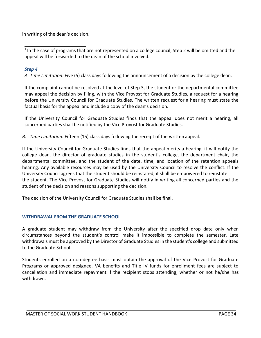in writing of the dean's decision.

 $1$  In the case of programs that are not represented on a college council, Step 2 will be omitted and the appeal will be forwarded to the dean of the school involved.

#### *Step 4*

*A. Time Limitation:* Five (5) class days following the announcement of a decision by the college dean.

If the complaint cannot be resolved at the level of Step 3, the student or the departmental committee may appeal the decision by filing, with the Vice Provost for Graduate Studies, a request for a hearing before the University Council for Graduate Studies. The written request for a hearing must state the factual basis for the appeal and include a copy of the dean's decision.

If the University Council for Graduate Studies finds that the appeal does not merit a hearing, all concerned parties shall be notified by the Vice Provost for Graduate Studies.

*B. Time Limitation:* Fifteen (15) class days following the receipt of the written appeal.

If the University Council for Graduate Studies finds that the appeal merits a hearing, it will notify the college dean, the director of graduate studies in the student's college, the department chair, the departmental committee, and the student of the date, time, and location of the retention appeals hearing. Any available resources may be used by the University Council to resolve the conflict. If the University Council agrees that the student should be reinstated, it shall be empowered to reinstate the student. The Vice Provost for Graduate Studies will notify in writing all concerned parties and the student of the decision and reasons supporting the decision.

The decision of the University Council for Graduate Studies shall be final.

#### **WITHDRAWAL FROM THE GRADUATE SCHOOL**

A graduate student may withdraw from the University after the specified drop date only when circumstances beyond the student's control make it impossible to complete the semester. Late withdrawals must be approved by the Director of Graduate Studies in the student's college and submitted to the Graduate School.

Students enrolled on a non‐degree basis must obtain the approval of the Vice Provost for Graduate Programs or approved designee. VA benefits and Title IV funds for enrollment fees are subject to cancellation and immediate repayment if the recipient stops attending, whether or not he/she has withdrawn.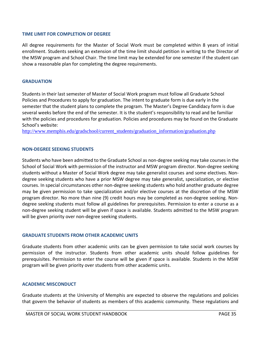#### **TIME LIMIT FOR COMPLETION OF DEGREE**

All degree requirements for the Master of Social Work must be completed within 8 years of initial enrollment. Students seeking an extension of the time limit should petition in writing to the Director of the MSW program and School Chair. The time limit may be extended for one semester if the student can show a reasonable plan for completing the degree requirements.

#### **GRADUATION**

Students in their last semester of Master of Social Work program must follow all Graduate School Policies and Procedures to apply for graduation. The intent to graduate form is due early in the semester that the student plans to complete the program. The Master's Degree Candidacy form is due several weeks before the end of the semester. It is the student's responsibility to read and be familiar with the policies and procedures for graduation. Policies and procedures may be found on the Graduate School's website:

[http://www.memphis.edu/gradschool/current\\_students/graduation\\_information/graduation.php](http://www.memphis.edu/gradschool/current_students/graduation_information/graduation.php)

#### **NON‐DEGREE SEEKING STUDENTS**

Students who have been admitted to the Graduate School as non‐degree seeking may take courses in the School of Social Work with permission of the instructor and MSW program director. Non‐degree seeking students without a Master of Social Work degree may take generalist courses and some electives. Non‐ degree seeking students who have a prior MSW degree may take generalist, specialization, or elective courses. In special circumstances other non‐degree seeking students who hold another graduate degree may be given permission to take specialization and/or elective courses at the discretion of the MSW program director. No more than nine (9) credit hours may be completed as non‐degree seeking. Non‐ degree seeking students must follow all guidelines for prerequisites. Permission to enter a course as a non‐degree seeking student will be given if space is available. Students admitted to the MSW program will be given priority over non-degree seeking students.

#### **GRADUATE STUDENTS FROM OTHER ACADEMIC UNITS**

Graduate students from other academic units can be given permission to take social work courses by permission of the instructor. Students from other academic units should follow guidelines for prerequisites. Permission to enter the course will be given if space is available. Students in the MSW program will be given priority over students from other academic units.

#### **ACADEMIC MISCONDUCT**

Graduate students at the University of Memphis are expected to observe the regulations and policies that govern the behavior of students as members of this academic community. These regulations and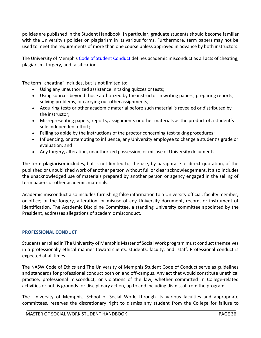policies are published in the Student Handbook. In particular, graduate students should become familiar with the University's policies on plagiarism in its various forms. Furthermore, term papers may not be used to meet the requirements of more than one course unless approved in advance by both instructors.

The University of Memphis Code of Student Conduct defines academic misconduct as all acts of cheating, plagiarism, forgery, and falsification.

The term "cheating" includes, but is not limited to:

- Using any unauthorized assistance in taking quizzes or tests;
- Using sources beyond those authorized by the instructor in writing papers, preparing reports, solving problems, or carrying out other assignments;
- Acquiring tests or other academic material before such material is revealed or distributed by the instructor;
- Misrepresenting papers, reports, assignments or other materials as the product of a student's sole independent effort;
- Failing to abide by the instructions of the proctor concerning test-taking procedures;
- Influencing, or attempting to influence, any University employee to change a student's grade or evaluation; and
- Any forgery, alteration, unauthorized possession, or misuse of University documents.

The term **plagiarism** includes, but is not limited to, the use, by paraphrase or direct quotation, of the published or unpublished work of another person without full or clear acknowledgement. It also includes the unacknowledged use of materials prepared by another person or agency engaged in the selling of term papers or other academic materials.

Academic misconduct also includes furnishing false information to a University official, faculty member, or office; or the forgery, alteration, or misuse of any University document, record, or instrument of identification. The Academic Discipline Committee, a standing University committee appointed by the President, addresses allegations of academic misconduct.

#### **PROFESSIONAL CONDUCT**

Students enrolled in The University of Memphis Master of Social Work program must conduct themselves in a professionally ethical manner toward clients, students, faculty, and staff. Professional conduct is expected at all times.

The NASW Code of Ethics and The University of Memphis Student Code of Conduct serve as guidelines and standards for professional conduct both on and off-campus. Any act that would constitute unethical practice, professional misconduct, or violations of the law, whether committed in College-related activities or not, is grounds for disciplinary action, up to and including dismissal from the program.

The University of Memphis, School of Social Work, through its various faculties and appropriate committees, reserves the discretionary right to dismiss any student from the College for failure to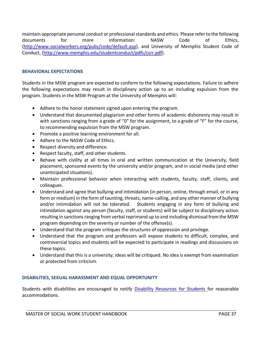maintain appropriate personal conduct or professional standards and ethics. Please refer to the following documents for more information: NASW Code of Ethics, [\(http://www.socialworkers.org/pubs/code/default.asp\),](http://www.socialworkers.org/pubs/code/default.asp)) and University of Memphis Student Code of Conduct, [\(http://www.memphis.edu/studentconduct/pdfs/csrr.pdf\).](http://www.memphis.edu/studentconduct/pdfs/csrr.pdf))

#### **BEHAVIORAL EXPECTATIONS**

Students in the MSW program are expected to conform to the following expectations. Failure to adhere the following expectations may result in disciplinary action up to an including expulsion from the program. Students in the MSW Program at the University of Memphis will:

- Adhere to the honor statement signed upon entering the program.
- Understand that documented plagiarism and other forms of academic dishonesty may result in with sanctions ranging from a grade of "0" for the assignment, to a grade of "F" for the course, to recommending expulsion from the MSW program.
- Promote a positive learning environment for all.
- Adhere to the NASW Code of Ethics.
- Respect diversity and difference.
- Respect faculty, staff, and other students.
- Behave with civility at all times in oral and written communication at the University, field placement, sponsored events by the university and/or program, and in social media (and other unanticipated situations).
- Maintain professional behavior when interacting with students, faculty, staff, clients, and colleagues.
- Understand and agree that bullying and intimidation (in person, online, through email, or in any form or medium) in the form of taunting, threats, name-calling, and any other manner of bullying and/or intimidation will not be tolerated. Students engaging in any form of bullying and intimidation against any person (faculty, staff, or students) will be subject to disciplinary action resulting in sanctions ranging from verbal reprimand up to and including dismissal from the MSW program depending on the severity or number of the offense(s).
- Understand that the program critiques the structures of oppression and privilege.
- Understand that the program and professors will expose students to difficult, complex, and controversial topics and students will be expected to participate in readings and discussions on these topics.
- Understand that this is a university; ideas will be critiqued. No idea is exempt from examination or protected from criticism.

#### **DISABILITIES, SEXUAL HARASSMENT AND EQUAL OPPORTUNITY**

Students with disabilities are encouraged to notify Disability Resources for Students for reasonable accommodations.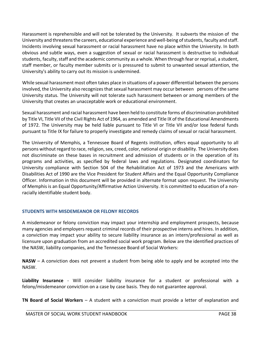Harassment is reprehensible and will not be tolerated by the University. It subverts the mission of the University and threatens the careers, educational experience and well‐being of students, faculty and staff. Incidents involving sexual harassment or racial harassment have no place within the University. In both obvious and subtle ways, even a suggestion of sexual or racial harassment is destructive to individual students, faculty, staff and the academic community as a whole. When through fear or reprisal, a student, staff member, or faculty member submits or is pressured to submit to unwanted sexual attention, the University's ability to carry out its mission is undermined.

While sexual harassment most often takes place in situations of a power differential between the persons involved, the University also recognizes that sexual harassment may occur between persons of the same University status. The University will not tolerate such harassment between or among members of the University that creates an unacceptable work or educational environment.

Sexual harassment and racial harassment have been held to constitute forms of discrimination prohibited by Title VI, Title VII of the Civil Rights Act of 1964, as amended and Title IX of the Educational Amendments of 1972. The University may be held liable pursuant to Title VI or Title VII and/or lose federal funds pursuant to Title IX for failure to properly investigate and remedy claims of sexual or racial harassment.

The University of Memphis, a Tennessee Board of Regents institution, offers equal opportunity to all persons without regard to race, religion, sex, creed, color, national origin or disability. The University does not discriminate on these bases in recruitment and admission of students or in the operation of its programs and activities, as specified by federal laws and regulations. Designated coordinators for University compliance with Section 504 of the Rehabilitation Act of 1973 and the Americans with Disabilities Act of 1990 are the Vice President for Student Affairs and the Equal Opportunity Compliance Officer. Information in this document will be provided in alternate format upon request. The University of Memphis is an Equal Opportunity/Affirmative Action University. It is committed to education of a non‐ racially identifiable student body.

#### **STUDENTS WITH MISDEMEANOR OR FELONY RECORDS**

A misdemeanor or felony conviction may impact your internship and employment prospects, because many agencies and employers request criminal records of their prospective interns and hires. In addition, a conviction may impact your ability to secure liability insurance as an intern/professional as well as licensure upon graduation from an accredited social work program. Below are the identified practices of the NASW, liability companies, and the Tennessee Board of Social Workers:

**NASW** – A conviction does not prevent a student from being able to apply and be accepted into the NASW.

**Liability Insurance** ‐ Will consider liability insurance for a student or professional with a felony/misdemeanor conviction on a case by case basis. They do not guarantee approval.

**TN Board of Social Workers** – A student with a conviction must provide a letter of explanation and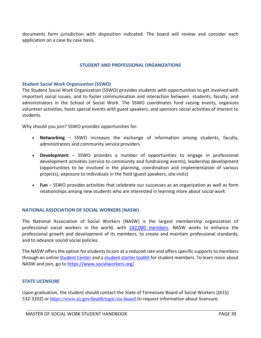documents form jurisdiction with disposition indicated. The board will review and consider each application on a case by case basis.

#### **STUDENT AND PROFESSIONAL ORGANIZATIONS**

#### **Student Social Work Organization (SSWO)**

The Student Social Work Organization (SSWO) provides students with opportunities to get involved with important social issues, and to foster communication and interaction between students, faculty, and administrators in the School of Social Work. The SSWO coordinates fund raising events, organizes volunteer activities, hosts special events with guest speakers, and sponsors social activities of interest to students.

Why should you join? SSWO provides opportunities for:

- **Networking**  SSWO increases the exchange of information among students, faculty, administrators and community service providers
- **Development**  SSWO provides a number of opportunities to engage in professional development activities (service to community and fundraising events), leadership development (opportunities to be involved in the planning, coordination and implementation of various projects), exposure to individuals in the field (guest speakers, site visits)
- **Fun**  SSWO provides activities that celebrate our successes as an organization as well as form relationships among new students who are interested in learning more about social work

#### **NATIONAL ASSOCIATION OF SOCIAL WORKERS (NASW)**

The National Association of Social Workers (NASW) is the largest membership organization of professional social workers in the world, with 142,000 members. NASW works to enhance the professional growth and development of its members, to create and maintain professional standards, and to advance sound social policies.

The NASW offers the option for students to join at a reduced rate and offers specific supports to members through an online Student Center and a student starter toolkit for student members. To learn more about NASW and join, go to [https://www.socialworkers.org/](http://www.socialworkers.org/)

#### **STATE LICENSURE**

Upon graduation, the student should contact the State of Tennessee Board of Social Workers [(615) 532-3202] or http[s://www.tn.gov/health/topic/sw-board](http://www.tn.gov/health/topic/sw-board) to request information about licensure.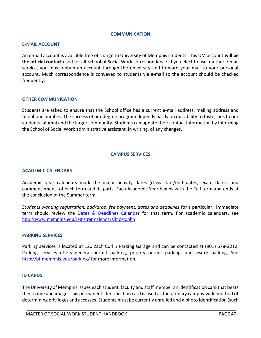#### **COMMUNICATION**

#### <span id="page-39-0"></span>**E‐MAIL ACCOUNT**

An e‐mail account is available free of charge to University of Memphis students. This UM account **will be the official contact** used for all School of Social Work correspondence. If you elect to use another e‐mail service, you must obtain an account through the university and forward your mail to your personal account. Much correspondence is conveyed to students via e‐mail so the account should be checked frequently.

#### **OTHER COMMUNICATION**

Students are asked to ensure that the School office has a current e-mail address, mailing address and telephone number. The success of our degree program depends partly on our ability to foster ties to our students, alumni and the larger community. Students can update their contact information by informing the School of Social Work administrative assistant, in writing, of any changes.

#### <span id="page-39-1"></span>**CAMPUS SERVICES**

#### **ACADEMIC CALENDARS**

Academic year calendars mark the major activity dates (class start/end dates, exam dates, and commencement) of each term and its parts. Each Academic Year begins with the Fall term and ends at the conclusion of the Summerterm.

*Students wanting registration, add/drop, fee payment, dates and deadlines* for a particular, immediate term should review the Dates & Deadlines Calendar for that term. For academic calendars, see <http://www.memphis.edu/registrar/calendars/index.php>

#### **PARKING SERVICES**

Parking services is located at 120 Zach Curlin Parking Garage and can be contacted at (901) 678‐2212. Parking services offers general permit parking, priority permit parking, and visitor parking. See [http://bf.memphis.edu/parking/ f](http://bf.memphis.edu/parking/)or more information.

#### **ID CARDS**

The University of Memphis issues each student, faculty and staff member an identification card that bears their name and image. This permanent identification card is used as the primary campus‐wide method of determining privileges and accesses. Students must be currently enrolled and a photo identification (such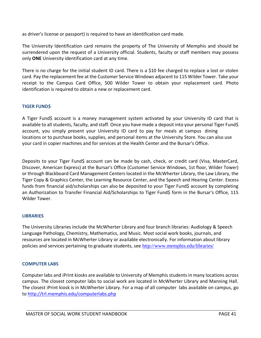as driver's license or passport) is required to have an identification card made.

The University Identification card remains the property of The University of Memphis and should be surrendered upon the request of a University official. Students, faculty or staff members may possess only **ONE** University identification card at any time.

There is no charge for the initial student ID card. There is a \$10 fee charged to replace a lost or stolen card. Pay the replacement fee at the Customer Service Windows adjacent to 115 Wilder Tower. Take your receipt to the Campus Card Office, 500 Wilder Tower to obtain your replacement card. Photo identification is required to obtain a new or replacement card.

#### **TIGER FUND\$**

A Tiger Fund\$ account is a money management system activated by your University ID card that is available to all students, faculty, and staff. Once you have made a deposit into your personal Tiger Fund\$ account, you simply present your University ID card to pay for meals at campus dining locations or to purchase books, supplies, and personal items at the University Store. You can also use your card in copier machines and for services at the Health Center and the Bursar's Office.

Deposits to your Tiger Fund\$ account can be made by cash, check, or credit card (Visa, MasterCard, Discover, American Express) at the Bursar's Office (Customer Service Windows, 1st floor, Wilder Tower) or through Blackboard Card Management Centers located in the McWherter Library, the Law Library, the Tiger Copy & Graphics Center, the Learning Resource Center, and the Speech and Hearing Center. Excess funds from financial aid/scholarships can also be deposited to your Tiger Fund\$ account by completing an Authorization to Transfer Financial Aid/Scholarships to Tiger Fund\$ form in the Bursar's Office, 115 Wilder Tower.

#### **LIBRARIES**

The University Libraries include the McWherter Library and four branch libraries: Audiology & Speech Language Pathology, Chemistry, Mathematics, and Music. Most social work books, journals, and resources are located in McWherter Library or available electronically. For information about library policies and services pertaining to graduate students, see <http://www.memphis.edu/libraries/>

#### **COMPUTER LABS**

Computer labs and iPrint kiosks are available to University of Memphis students in many locations across campus. The closest computer labs to social work are located in McWherter Library and Manning Hall. The closest iPrint kiosk is in McWherter Library. For a map of all computer labs available on campus, go to<http://trl.memphis.edu/computerlabs.php>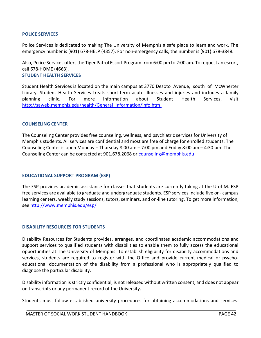#### **POLICE SERVICES**

Police Services is dedicated to making The University of Memphis a safe place to learn and work. The emergency number is (901) 678-HELP (4357). For non-emergency calls, the number is (901) 678-3848.

Also, Police Services offers the Tiger Patrol Escort Program from 6:00 pm to 2:00 am. To request an escort, call 678‐HOME (4663). **STUDENT HEALTH SERVICES**

Student Health Services is located on the main campus at 3770 Desoto Avenue, south of McWherter Library. Student Health Services treats short‐term acute illnesses and injuries and includes a family planning clinic. For more information about Student Health Services, visit [http://saweb.memphis.edu/health/General\\_Information/info.htm.](http://saweb.memphis.edu/health/General_Information/info.htm)

#### **COUNSELING CENTER**

The Counseling Center provides free counseling, wellness, and psychiatric services for University of Memphis students. All services are confidential and most are free of charge for enrolled students. The Counseling Center is open Monday – Thursday 8:00 am – 7:00 pm and Friday 8:00 am – 4:30 pm. The Counseling Center can be contacted at 901.678.2068 or [coun](mailto:counseling@memphis.edu)[seling@memphis.edu](mailto:seling@memphis.edu)

#### **EDUCATIONAL SUPPORT PROGRAM (ESP)**

The ESP provides academic assistance for classes that students are currently taking at the U of M. ESP free services are available to graduate and undergraduate students. ESP services include five on‐ campus learning centers, weekly study sessions, tutors, seminars, and on‐line tutoring. To get more information, see<http://www.memphis.edu/esp/>

#### **DISABILITY RESOURCES FOR STUDENTS**

Disability Resources for Students provides, arranges, and coordinates academic accommodations and support services to qualified students with disabilities to enable them to fully access the educational opportunities at The University of Memphis. To establish eligibility for disability accommodations and services, students are required to register with the Office and provide current medical or psychoeducational documentation of the disability from a professional who is appropriately qualified to diagnose the particular disability.

Disability information is strictly confidential, is not released without written consent, and does not appear on transcripts or any permanent record of the University.

Students must follow established university procedures for obtaining accommodations and services.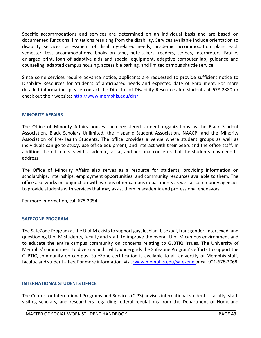Specific accommodations and services are determined on an individual basis and are based on documented functional limitations resulting from the disability. Services available include orientation to disability services, assessment of disability‐related needs, academic accommodation plans each semester, test accommodations, books on tape, note-takers, readers, scribes, interpreters, Braille, enlarged print, loan of adaptive aids and special equipment, adaptive computer lab, guidance and counseling, adapted campus housing, accessible parking, and limited campus shuttle service.

Since some services require advance notice, applicants are requested to provide sufficient notice to Disability Resources for Students of anticipated needs and expected date of enrollment. For more detailed information, please contact the Director of Disability Resources for Students at 678‐2880 or check out their website:<http://www.memphis.edu/drs/>

#### **MINORITY AFFAIRS**

The Office of Minority Affairs houses such registered student organizations as the Black Student Association, Black Scholars Unlimited, the Hispanic Student Association, NAACP, and the Minority Association of Pre‐Health Students. The office provides a venue where student groups as well as individuals can go to study, use office equipment, and interact with their peers and the office staff. In addition, the office deals with academic, social, and personal concerns that the students may need to address.

The Office of Minority Affairs also serves as a resource for students, providing information on scholarships, internships, employment opportunities, and community resources available to them. The office also works in conjunction with various other campus departments as well as community agencies to provide students with services that may assist them in academic and professional endeavors.

For more information, call 678‐2054.

#### **SAFEZONE PROGRAM**

The SafeZone Program at the U of M exists to support gay, lesbian, bisexual, transgender, intersexed, and questioning U of M students, faculty and staff, to improve the overall U of M campus environment and to educate the entire campus community on concerns relating to GLBTIQ issues. The University of Memphis' commitment to diversity and civility undergirds the SafeZone Program's efforts to support the GLBTIQ community on campus. SafeZone certification is available to all University of Memphis staff, faculty, and student allies. For more information, visi[t www.memphis.edu/safezone o](http://www.memphis.edu/safezone)r call901‐678‐2068.

#### **INTERNATIONAL STUDENTS OFFICE**

The Center for International Programs and Services (CIPS) advises international students, faculty, staff, visiting scholars, and researchers regarding federal regulations from the Department of Homeland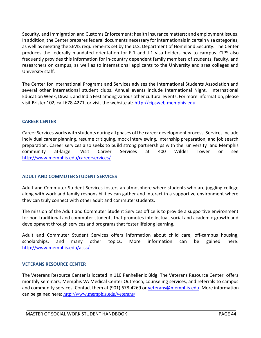Security, and Immigration and Customs Enforcement; health insurance matters; and employment issues. In addition, the Center prepares federal documents necessary for internationals in certain visa categories, as well as meeting the SEVIS requirements set by the U.S. Department of Homeland Security. The Center produces the federally mandated orientation for F‐1 and J‐1 visa holders new to campus. CIPS also frequently provides this information for in‐country dependent family members of students, faculty, and researchers on campus, as well as to international applicants to the University and area colleges and University staff.

The Center for International Programs and Services advises the International Students Association and several other international student clubs. Annual events include International Night, International Education Week, Diwali, and India Fest among various other cultural events. For more information, please visit Brister 102, call 678‐4271, or visit the website at: [http://cipsweb.memphis.edu.](http://cipsweb.memphis.edu/)

#### **CAREER CENTER**

Career Services works with students during all phases of the career development process. Services include individual career planning, resume critiquing, mock interviewing, internship preparation, and job search preparation. Career services also seeks to build strong partnerships with the university and Memphis community at‐large. Visit Career Services at 400 Wilder Tower or see <http://www.memphis.edu/careerservices/>

#### **ADULT AND COMMUTER STUDENT SERVICES**

Adult and Commuter Student Services fosters an atmosphere where students who are juggling college along with work and family responsibilities can gather and interact in a supportive environment where they can truly connect with other adult and commuterstudents.

The mission of the Adult and Commuter Student Services office is to provide a supportive environment for non-traditional and commuter students that promotes intellectual, social and academic growth and development through services and programs that foster lifelong learning.

Adult and Commuter Student Services offers information about child care, off‐campus housing, scholarships, and many other topics. More information can be gained here: <http://www.memphis.edu/acss/>

#### **VETERANS RESOURCE CENTER**

The Veterans Resource Center is located in 110 Panhellenic Bldg. The Veterans Resource Center offers monthly seminars, Memphis VA Medical Center Outreach, counseling services, and referrals to campus and community services. Contact them at (901) 678-4269 or [veterans@memphis.edu.](mailto:veterans@memphis.edu) More information can be gained here: <http://www.memphis.edu/veterans/>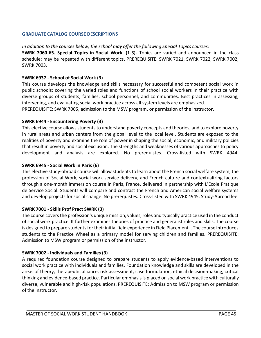#### **GRADUATE CATALOG COURSE DESCRIPTIONS**

*In addition to the courses below, the school may offer the following Special Topics courses:* 

**SWRK 7060‐65. Special Topics in Social Work. (1‐3).** Topics are varied and announced in the class schedule; may be repeated with different topics. PREREQUISITE: SWRK 7021, SWRK 7022, SWRK 7002, SWRK 7003.

#### **SWRK 6937 ‐ School of Social Work (3)**

This course develops the knowledge and skills necessary for successful and competent social work in public schools; covering the varied roles and functions of school social workers in their practice with diverse groups of students, families, school personnel, and communities. Best practices in assessing, intervening, and evaluating social work practice across all system levels are emphasized.

PREREQUISITE: SWRK 7005, admission to the MSW program, or permission of the instructor.

#### **SWRK 6944 - Encountering Poverty (3)**

This elective course allows students to understand poverty concepts and theories, and to explore poverty in rural areas and urban centers from the global level to the local level. Students are exposed to the realities of poverty and examine the role of power in shaping the social, economic, and military policies that result in poverty and social exclusion. The strengths and weaknesses of various approaches to policy development and analysis are explored. No prerequistes. Cross-listed with SWRK 4944.

#### **SWRK 6945 - Social Work in Paris (6)**

This elective study-abroad course will allow students to learn about the French social welfare system, the profession of Social Work, social work service delivery, and French culture and contextualizing factors through a one-month immersion course in Paris, France, delivered in partnership with L'Ecole Pratique de Service Social. Students will compare and contrast the French and American social welfare systems and develop projects for social change. No prerequistes. Cross-listed with SWRK 4945. Study-Abroad fee.

#### **SWRK 7001 ‐ Skills Prof Pract SWRK (3)**

The course covers the profession's unique mission, values, roles and typically practice used in the conduct of social work practice. It further examines theories of practice and generalist roles and skills. The course is designed to prepare students for their initial field experience in Field Placement I. The course introduces students to the Practice Wheel as a primary model for serving children and families. PREREQUISITE: Admission to MSW program or permission of the instructor.

#### **SWRK 7002 ‐ Individuals and Families (3)**

A required foundation course designed to prepare students to apply evidence‐based interventions to social work practice with individuals and families. Foundation knowledge and skills are developed in the areas of theory, therapeutic alliance, risk assessment, case formulation, ethical decision‐making, critical thinking and evidence‐based practice. Particular emphasis is placed on social work practice with culturally diverse, vulnerable and high‐risk populations. PREREQUISITE: Admission to MSW program or permission of the instructor.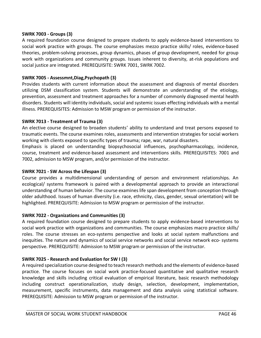#### **SWRK 7003 ‐ Groups (3)**

A required foundation course designed to prepare students to apply evidence‐based interventions to social work practice with groups. The course emphasizes mezzo practice skills/ roles, evidence-based theories, problem‐solving processes, group dynamics, phases of group development, needed for group work with organizations and community groups. Issues inherent to diversity, at-risk populations and social justice are integrated. PREREQUISITE: SWRK 7001, SWRK 7002.

#### **SWRK 7005 ‐ Assessmnt,Diag,Psychopath (3)**

Provides students with current information about the assessment and diagnosis of mental disorders utilizing DSM classification system. Students will demonstrate an understanding of the etiology, prevention, assessment and treatment approaches for a number of commonly diagnosed mental health disorders. Students will identity individuals, social and systemic issues effecting individuals with a mental illness. PREREQUISITES: Admission to MSW program or permission of the instructor.

#### **SWRK 7013 ‐ Treatment of Trauma (3)**

An elective course designed to broaden students' ability to understand and treat persons exposed to traumatic events. The course examines roles, assessments and intervention strategies for social workers working with clients exposed to specific types of trauma; rape, war, natural disasters.

Emphasis is placed on understanding biopsychosocial influences, psychopharmacology, incidence, course, treatment and evidence‐based assessment and interventions skills. PREREQUISITES: 7001 and 7002, admission to MSW program, and/or permission of the instructor.

#### **SWRK 7021 ‐ SW Across the Lifespan (3)**

Course provides a multidimensional understanding of person and environment relationships. An ecological/ systems framework is paired with a developmental approach to provide an interactional understanding of human behavior. The course examines life span development from conception through older adulthood. Issues of human diversity (i.e. race, ethnicity, class, gender, sexual orientation) will be highlighted. PREREQUISITE: Admission to MSW program or permission of the instructor.

#### **SWRK 7022 ‐ Organizations and Communities (3)**

A required foundation course designed to prepare students to apply evidence-based interventions to social work practice with organizations and communities. The course emphasizes macro practice skills/ roles. The course stresses an eco‐systems perspective and looks at social system malfunctions and inequities. The nature and dynamics of social service networks and social service network eco‐ systems perspective. PREREQUISITE: Admission to MSW program or permission of the instructor.

#### **SWRK 7025 ‐ Research and Evaluation for SW I (3)**

A required specialization course designed to teach research methods and the elements of evidence-based practice. The course focuses on social work practice‐focused quantitative and qualitative research knowledge and skills including critical evaluation of empirical literature, basic research methodology including construct operationalization, study design, selection, development, implementation, measurement, specific instruments, data management and data analysis using statistical software. PREREQUISITE: Admission to MSW program or permission of the instructor.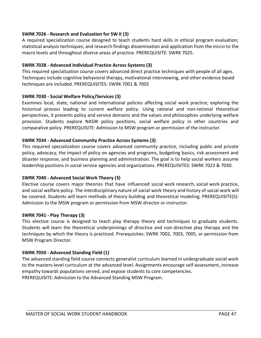#### **SWRK 7026 ‐ Research and Evaluation for SW II (3)**

A required specialization course designed to teach students hard skills in ethical program evaluation; statistical analysis techniques; and research findings dissemination and application from the micro to the macro levels and throughout diverse areas of practice. PREREQUISITE: SWRK 7025.

#### **SWRK 7028 - Advanced Individual Practice Across Systems (3)**

This required specialization course covers advanced direct practice techniques with people of all ages. Techniques include cognitive behavioral therapy, motivational interviewing, and other evidence based techniques are included. PREREQUISITES: SWRK 7001 & 7002

#### **SWRK 7030 ‐ Social Welfare Policy/Services (3)**

Examines local, state, national and international policies affecting social work practice; exploring the historical process leading to current welfare policy. Using rational and non-rational theoretical perspectives, it presents policy and service domains and the values and philosophies underlying welfare provision. Students explore NASW policy positions, social welfare policy in other countries and comparative policy. PREREQUISITE: Admission to MSW program or permission of the instructor.

#### **SWRK 7034 - Advanced Community Practice Across Systems (3)**

This required specialization course covers advanced community practice, including public and private policy, advocacy, the impact of policy on agencies and programs, budgeting basics, risk assessment and disaster response, and business planning and administration. The goal is to help social workers assume leadership positions in social service agencies and organizations. PREREQUISITES: SWRK 7022 & 7030.

#### **SWRK 7040 - Advanced Social Work Theory (3)**

Elective course covers major theories that have influenced social work research, social work practice, and social welfare policy. The interdisciplinary nature of social work theory and history of social work will be covered. Students will learn methods of theory building and theoretical modeling. PREREQUISITE(S): Admission to the MSW program or permission from MSW director or instructor.

#### **SWRK 7041 - Play Therapy (3)**

This elective course is designed to teach play therapy theory and techniques to graduate students. Students will learn the theoretical underpinnings of directive and non-directive play therapy and the techniques by which the theory is practiced. Prerequisites: SWRK 7002, 7003, 7005, or permission from MSW Program Director.

#### **SWRK 7050 ‐ Advanced Standing Field (1)**

The advanced standing field course connects generalist curriculum learned in undergraduate social work to the masters‐level curriculum at the advanced level. Assignments encourage self‐assessment, increase empathy towards populations served, and expose students to core competencies. PREREQUISITE: Admission to the Advanced Standing MSW Program.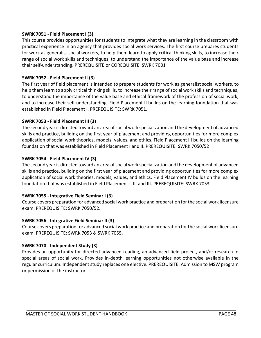#### **SWRK 7051 ‐ Field Placement I (3)**

This course provides opportunities for students to integrate what they are learning in the classroom with practical experience in an agency that provides social work services. The first course prepares students for work as generalist social workers, to help them learn to apply critical thinking skills, to increase their range of social work skills and techniques, to understand the importance of the value base and increase their self‐understanding. PREREQUISITE or COREQUISITE: SWRK 7001

#### **SWRK 7052 ‐ Field Placement II (3)**

The first year of field placement is intended to prepare students for work as generalist social workers, to help them learn to apply critical thinking skills, to increase their range of social work skills and techniques, to understand the importance of the value base and ethical framework of the profession of social work, and to increase their self-understanding. Field Placement II builds on the learning foundation that was established in Field Placement I. PREREQUISITE: SWRK 7051.

#### **SWRK 7053 ‐ Field Placement III (3)**

The second year is directed toward an area of social work specialization and the development of advanced skills and practice, building on the first year of placement and providing opportunities for more complex application of social work theories, models, values, and ethics. Field Placement III builds on the learning foundation that was established in Field Placement I and II. PREREQUISITE: SWRK 7050/52

#### **SWRK 7054 ‐ Field Placement IV (3)**

The second year is directed toward an area of social work specialization and the development of advanced skills and practice, building on the first year of placement and providing opportunities for more complex application of social work theories, models, values, and ethics. Field Placement IV builds on the learning foundation that was established in Field Placement I, II, and III. PREREQUISITE: SWRK 7053.

#### **SWRK 7055 ‐ Integrative Field Seminar I (3)**

Course covers preparation for advanced social work practice and preparation for the social work licensure exam. PREREQUISITE: SWRK 7050/52.

#### **SWRK 7056 ‐ Integrative Field Seminar II (3)**

Course covers preparation for advanced social work practice and preparation for the social work licensure exam. PREREQUISITE: SWRK 7053 & SWRK 7055.

#### **SWRK 7070 ‐ Independent Study (3)**

Provides an opportunity for directed advanced reading, an advanced field project, and/or research in special areas of social work. Provides in-depth learning opportunities not otherwise available in the regular curriculum. Independent study replaces one elective. PREREQUISITE: Admission to MSW program or permission of the instructor.